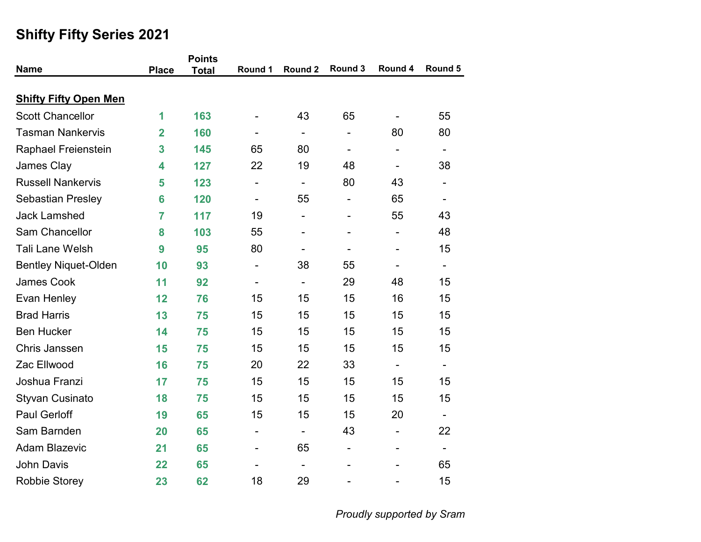|                              |                | <b>Points</b> |                          |                              |                              |                          |                          |
|------------------------------|----------------|---------------|--------------------------|------------------------------|------------------------------|--------------------------|--------------------------|
| <b>Name</b>                  | <b>Place</b>   | <b>Total</b>  | Round 1                  | Round 2                      | Round 3                      | Round 4                  | Round 5                  |
| <b>Shifty Fifty Open Men</b> |                |               |                          |                              |                              |                          |                          |
| <b>Scott Chancellor</b>      | 1              | 163           |                          | 43                           | 65                           |                          | 55                       |
| <b>Tasman Nankervis</b>      | $\overline{2}$ | 160           |                          | $\overline{\phantom{a}}$     |                              | 80                       | 80                       |
| Raphael Freienstein          | 3              | 145           | 65                       | 80                           | $\qquad \qquad \blacksquare$ |                          | $\overline{\phantom{a}}$ |
| James Clay                   | 4              | 127           | 22                       | 19                           | 48                           | $\overline{\phantom{0}}$ | 38                       |
| <b>Russell Nankervis</b>     | 5              | 123           | $\overline{\phantom{a}}$ | $\overline{\phantom{a}}$     | 80                           | 43                       |                          |
| <b>Sebastian Presley</b>     | 6              | 120           | $\overline{\phantom{a}}$ | 55                           | $\overline{\phantom{0}}$     | 65                       |                          |
| <b>Jack Lamshed</b>          | $\overline{7}$ | 117           | 19                       | $\overline{\phantom{a}}$     |                              | 55                       | 43                       |
| Sam Chancellor               | 8              | 103           | 55                       |                              |                              | $\overline{\phantom{a}}$ | 48                       |
| <b>Tali Lane Welsh</b>       | 9              | 95            | 80                       |                              |                              |                          | 15                       |
| <b>Bentley Niquet-Olden</b>  | 10             | 93            | $\overline{\phantom{a}}$ | 38                           | 55                           | $\overline{\phantom{0}}$ | $\overline{\phantom{a}}$ |
| <b>James Cook</b>            | 11             | 92            | $\overline{\phantom{a}}$ | $\overline{\phantom{a}}$     | 29                           | 48                       | 15                       |
| Evan Henley                  | 12             | 76            | 15                       | 15                           | 15                           | 16                       | 15                       |
| <b>Brad Harris</b>           | 13             | 75            | 15                       | 15                           | 15                           | 15                       | 15                       |
| <b>Ben Hucker</b>            | 14             | 75            | 15                       | 15                           | 15                           | 15                       | 15                       |
| Chris Janssen                | 15             | 75            | 15                       | 15                           | 15                           | 15                       | 15                       |
| Zac Ellwood                  | 16             | 75            | 20                       | 22                           | 33                           | $\blacksquare$           | $\overline{\phantom{0}}$ |
| Joshua Franzi                | 17             | 75            | 15                       | 15                           | 15                           | 15                       | 15                       |
| <b>Styvan Cusinato</b>       | 18             | 75            | 15                       | 15                           | 15                           | 15                       | 15                       |
| <b>Paul Gerloff</b>          | 19             | 65            | 15                       | 15                           | 15                           | 20                       | $\blacksquare$           |
| Sam Barnden                  | 20             | 65            | -                        | $\qquad \qquad \blacksquare$ | 43                           |                          | 22                       |
| <b>Adam Blazevic</b>         | 21             | 65            |                          | 65                           |                              |                          | $\blacksquare$           |
| <b>John Davis</b>            | 22             | 65            |                          |                              |                              |                          | 65                       |
| <b>Robbie Storey</b>         | 23             | 62            | 18                       | 29                           |                              |                          | 15                       |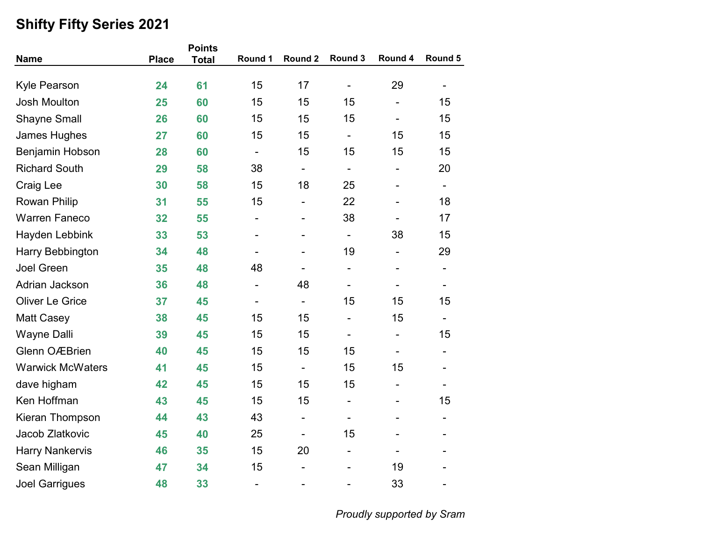|                         |              | <b>Points</b> |                              |                          |                          |                              |                              |
|-------------------------|--------------|---------------|------------------------------|--------------------------|--------------------------|------------------------------|------------------------------|
| <b>Name</b>             | <b>Place</b> | <b>Total</b>  | Round 1                      | Round 2                  | Round 3                  | Round 4                      | Round 5                      |
| <b>Kyle Pearson</b>     | 24           | 61            | 15                           | 17                       | $\overline{\phantom{0}}$ | 29                           |                              |
| <b>Josh Moulton</b>     | 25           | 60            | 15                           | 15                       | 15                       | $\overline{\phantom{0}}$     | 15                           |
| <b>Shayne Small</b>     | 26           | 60            | 15                           | 15                       | 15                       | $\overline{\phantom{a}}$     | 15                           |
| James Hughes            | 27           | 60            | 15                           | 15                       | -                        | 15                           | 15                           |
| Benjamin Hobson         | 28           | 60            | $\overline{\phantom{a}}$     | 15                       | 15                       | 15                           | 15                           |
| <b>Richard South</b>    | 29           | 58            | 38                           | -                        | $\overline{\phantom{0}}$ | $\overline{\phantom{0}}$     | 20                           |
| <b>Craig Lee</b>        | 30           | 58            | 15                           | 18                       | 25                       | $\overline{\phantom{a}}$     | $\blacksquare$               |
| Rowan Philip            | 31           | 55            | 15                           | -                        | 22                       | $\qquad \qquad \blacksquare$ | 18                           |
| <b>Warren Faneco</b>    | 32           | 55            | $\overline{\phantom{0}}$     |                          | 38                       |                              | 17                           |
| Hayden Lebbink          | 33           | 53            | $\overline{\phantom{0}}$     | -                        | $\overline{\phantom{a}}$ | 38                           | 15                           |
| Harry Bebbington        | 34           | 48            |                              | -                        | 19                       | -                            | 29                           |
| <b>Joel Green</b>       | 35           | 48            | 48                           | -                        | $\overline{\phantom{0}}$ | $\qquad \qquad \blacksquare$ | $\overline{\phantom{a}}$     |
| Adrian Jackson          | 36           | 48            | $\overline{\phantom{a}}$     | 48                       | -                        | $\overline{\phantom{0}}$     | $\qquad \qquad \blacksquare$ |
| <b>Oliver Le Grice</b>  | 37           | 45            |                              | $\overline{\phantom{0}}$ | 15                       | 15                           | 15                           |
| <b>Matt Casey</b>       | 38           | 45            | 15                           | 15                       | $\overline{\phantom{0}}$ | 15                           | $\blacksquare$               |
| <b>Wayne Dalli</b>      | 39           | 45            | 15                           | 15                       | $\overline{\phantom{0}}$ | $\overline{\phantom{0}}$     | 15                           |
| <b>Glenn OÆBrien</b>    | 40           | 45            | 15                           | 15                       | 15                       |                              | -                            |
| <b>Warwick McWaters</b> | 41           | 45            | 15                           | $\overline{\phantom{a}}$ | 15                       | 15                           |                              |
| dave higham             | 42           | 45            | 15                           | 15                       | 15                       | $\overline{\phantom{a}}$     |                              |
| Ken Hoffman             | 43           | 45            | 15                           | 15                       | $\overline{\phantom{0}}$ | $\qquad \qquad \blacksquare$ | 15                           |
| Kieran Thompson         | 44           | 43            | 43                           | -                        | -                        | -                            | $\blacksquare$               |
| Jacob Zlatkovic         | 45           | 40            | 25                           | -                        | 15                       |                              |                              |
| <b>Harry Nankervis</b>  | 46           | 35            | 15                           | 20                       | $\overline{\phantom{0}}$ |                              |                              |
| Sean Milligan           | 47           | 34            | 15                           | ۰                        |                          | 19                           |                              |
| <b>Joel Garrigues</b>   | 48           | 33            | $\qquad \qquad \blacksquare$ | ۰                        |                          | 33                           | $\overline{\phantom{0}}$     |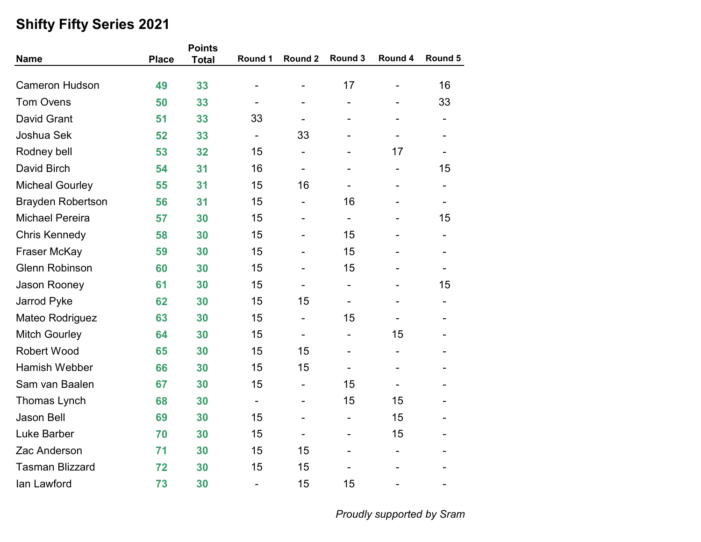|                          |              | <b>Points</b> |                          |                          |                          |                          |                          |
|--------------------------|--------------|---------------|--------------------------|--------------------------|--------------------------|--------------------------|--------------------------|
| <b>Name</b>              | <b>Place</b> | <b>Total</b>  | Round 1                  | Round 2                  | Round 3                  | Round 4                  | Round 5                  |
| <b>Cameron Hudson</b>    | 49           | 33            |                          |                          | 17                       | $\overline{\phantom{0}}$ | 16                       |
| <b>Tom Ovens</b>         | 50           | 33            |                          |                          | $\overline{a}$           | -                        | 33                       |
| <b>David Grant</b>       | 51           | 33            | 33                       | -                        | $\overline{a}$           | $\overline{\phantom{0}}$ | $\overline{\phantom{a}}$ |
| Joshua Sek               | 52           | 33            | $\overline{\phantom{a}}$ | 33                       |                          |                          |                          |
| Rodney bell              | 53           | 32            | 15                       | -                        |                          | 17                       | $\overline{\phantom{0}}$ |
| David Birch              | 54           | 31            | 16                       | $\overline{\phantom{0}}$ |                          | $\overline{\phantom{a}}$ | 15                       |
| <b>Micheal Gourley</b>   | 55           | 31            | 15                       | 16                       |                          | $\overline{\phantom{a}}$ | $\overline{\phantom{a}}$ |
| <b>Brayden Robertson</b> | 56           | 31            | 15                       | -                        | 16                       | -                        | $\overline{\phantom{a}}$ |
| <b>Michael Pereira</b>   | 57           | 30            | 15                       |                          | $\overline{\phantom{0}}$ |                          | 15                       |
| <b>Chris Kennedy</b>     | 58           | 30            | 15                       | -                        | 15                       |                          | $\overline{\phantom{a}}$ |
| Fraser McKay             | 59           | 30            | 15                       | $\overline{\phantom{0}}$ | 15                       |                          | $\blacksquare$           |
| <b>Glenn Robinson</b>    | 60           | 30            | 15                       | $\overline{\phantom{0}}$ | 15                       |                          | $\overline{\phantom{a}}$ |
| Jason Rooney             | 61           | 30            | 15                       | $\overline{\phantom{a}}$ | $\overline{\phantom{0}}$ | $\overline{\phantom{a}}$ | 15                       |
| Jarrod Pyke              | 62           | 30            | 15                       | 15                       |                          |                          | -                        |
| Mateo Rodriguez          | 63           | 30            | 15                       | -                        | 15                       |                          |                          |
| <b>Mitch Gourley</b>     | 64           | 30            | 15                       | $\overline{\phantom{0}}$ | $\overline{a}$           | 15                       | -                        |
| <b>Robert Wood</b>       | 65           | 30            | 15                       | 15                       | $\overline{\phantom{0}}$ |                          |                          |
| <b>Hamish Webber</b>     | 66           | 30            | 15                       | 15                       |                          |                          |                          |
| Sam van Baalen           | 67           | 30            | 15                       | -                        | 15                       |                          |                          |
| Thomas Lynch             | 68           | 30            | $\overline{\phantom{a}}$ | -                        | 15                       | 15                       |                          |
| <b>Jason Bell</b>        | 69           | 30            | 15                       | -                        | $\overline{\phantom{0}}$ | 15                       | -                        |
| Luke Barber              | 70           | 30            | 15                       | -                        |                          | 15                       |                          |
| Zac Anderson             | 71           | 30            | 15                       | 15                       | L,                       | $\overline{\phantom{a}}$ |                          |
| <b>Tasman Blizzard</b>   | 72           | 30            | 15                       | 15                       |                          |                          |                          |
| lan Lawford              | 73           | 30            | $\overline{\phantom{0}}$ | 15                       | 15                       | $\overline{\phantom{a}}$ | $\blacksquare$           |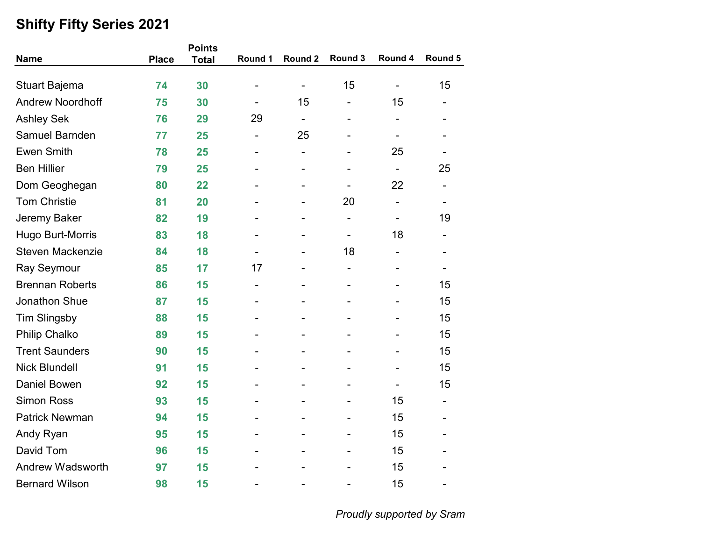| <b>Name</b>             | <b>Place</b> | <b>Points</b><br><b>Total</b> | Round 1                  | Round 2                  | Round 3                      | Round 4                      | Round 5                  |
|-------------------------|--------------|-------------------------------|--------------------------|--------------------------|------------------------------|------------------------------|--------------------------|
|                         |              |                               |                          |                          |                              |                              |                          |
| <b>Stuart Bajema</b>    | 74           | 30                            | $\qquad \qquad$          | $\overline{\phantom{a}}$ | 15                           | $\overline{\phantom{a}}$     | 15                       |
| <b>Andrew Noordhoff</b> | 75           | 30                            |                          | 15                       |                              | 15                           |                          |
| <b>Ashley Sek</b>       | 76           | 29                            | 29                       | $\overline{\phantom{a}}$ | $\overline{\phantom{0}}$     | $\qquad \qquad \blacksquare$ |                          |
| Samuel Barnden          | 77           | 25                            | $\overline{\phantom{a}}$ | 25                       |                              |                              |                          |
| <b>Ewen Smith</b>       | 78           | 25                            |                          | ÷,                       |                              | 25                           |                          |
| <b>Ben Hillier</b>      | 79           | 25                            |                          | $\blacksquare$           | $\blacksquare$               | $\overline{\phantom{a}}$     | 25                       |
| Dom Geoghegan           | 80           | 22                            |                          |                          |                              | 22                           |                          |
| <b>Tom Christie</b>     | 81           | 20                            |                          |                          | 20                           | $\qquad \qquad \blacksquare$ | $\overline{\phantom{0}}$ |
| Jeremy Baker            | 82           | 19                            |                          |                          |                              | $\overline{\phantom{0}}$     | 19                       |
| Hugo Burt-Morris        | 83           | 18                            |                          |                          | $\qquad \qquad \blacksquare$ | 18                           |                          |
| <b>Steven Mackenzie</b> | 84           | 18                            |                          |                          | 18                           |                              |                          |
| Ray Seymour             | 85           | 17                            | 17                       |                          |                              |                              |                          |
| <b>Brennan Roberts</b>  | 86           | 15                            | $\overline{\phantom{a}}$ |                          | $\overline{\phantom{0}}$     |                              | 15                       |
| Jonathon Shue           | 87           | 15                            |                          |                          |                              |                              | 15                       |
| <b>Tim Slingsby</b>     | 88           | 15                            |                          |                          |                              |                              | 15                       |
| <b>Philip Chalko</b>    | 89           | 15                            |                          |                          |                              |                              | 15                       |
| <b>Trent Saunders</b>   | 90           | 15                            |                          |                          |                              |                              | 15                       |
| <b>Nick Blundell</b>    | 91           | 15                            |                          |                          |                              |                              | 15                       |
| <b>Daniel Bowen</b>     | 92           | 15                            |                          |                          |                              |                              | 15                       |
| <b>Simon Ross</b>       | 93           | 15                            |                          |                          |                              | 15                           |                          |
| <b>Patrick Newman</b>   | 94           | 15                            |                          |                          |                              | 15                           |                          |
| Andy Ryan               | 95           | 15                            |                          |                          |                              | 15                           |                          |
| David Tom               | 96           | 15                            |                          |                          |                              | 15                           |                          |
| <b>Andrew Wadsworth</b> | 97           | 15                            |                          |                          |                              | 15                           |                          |
| <b>Bernard Wilson</b>   | 98           | 15                            |                          |                          |                              | 15                           |                          |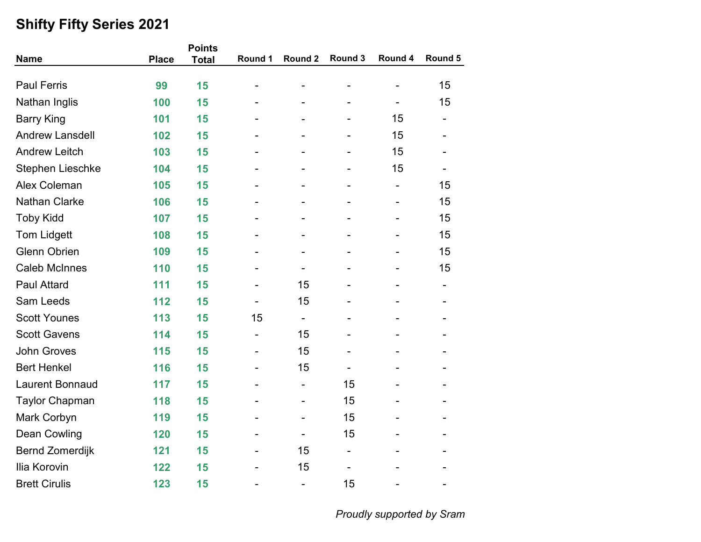|                         |              | <b>Points</b> |                          |                              |                          |                              |                          |
|-------------------------|--------------|---------------|--------------------------|------------------------------|--------------------------|------------------------------|--------------------------|
| <b>Name</b>             | <b>Place</b> | <b>Total</b>  | Round 1                  | Round 2                      | Round 3                  | Round 4                      | Round 5                  |
| <b>Paul Ferris</b>      | 99           | 15            |                          |                              |                          |                              | 15                       |
| Nathan Inglis           | 100          | 15            |                          |                              |                          | $\qquad \qquad \blacksquare$ | 15                       |
| <b>Barry King</b>       | 101          | 15            |                          |                              | -                        | 15                           | $\overline{\phantom{a}}$ |
| <b>Andrew Lansdell</b>  | 102          | 15            |                          |                              | -                        | 15                           |                          |
| <b>Andrew Leitch</b>    | 103          | 15            |                          |                              | $\overline{\phantom{0}}$ | 15                           |                          |
| <b>Stephen Lieschke</b> | 104          | 15            |                          |                              | $\overline{\phantom{0}}$ | 15                           |                          |
| <b>Alex Coleman</b>     | 105          | 15            |                          |                              | $\overline{\phantom{0}}$ | $\overline{\phantom{0}}$     | 15                       |
| <b>Nathan Clarke</b>    | 106          | 15            |                          | -                            | -                        | $\overline{\phantom{a}}$     | 15                       |
| <b>Toby Kidd</b>        | 107          | 15            |                          |                              |                          |                              | 15                       |
| <b>Tom Lidgett</b>      | 108          | 15            |                          |                              |                          |                              | 15                       |
| <b>Glenn Obrien</b>     | 109          | 15            |                          | -                            | -                        |                              | 15                       |
| <b>Caleb McInnes</b>    | 110          | 15            |                          | $\overline{\phantom{a}}$     | -                        |                              | 15                       |
| <b>Paul Attard</b>      | 111          | 15            | $\overline{\phantom{a}}$ | 15                           | -                        | $\overline{\phantom{a}}$     | $\overline{\phantom{a}}$ |
| Sam Leeds               | 112          | 15            |                          | 15                           |                          |                              |                          |
| <b>Scott Younes</b>     | 113          | 15            | 15                       | $\overline{\phantom{a}}$     |                          |                              |                          |
| <b>Scott Gavens</b>     | 114          | 15            | $\blacksquare$           | 15                           | $\overline{\phantom{0}}$ |                              | $\overline{\phantom{0}}$ |
| <b>John Groves</b>      | 115          | 15            | -                        | 15                           | -                        |                              |                          |
| <b>Bert Henkel</b>      | 116          | 15            | $\overline{\phantom{a}}$ | 15                           | $\overline{\phantom{0}}$ |                              |                          |
| <b>Laurent Bonnaud</b>  | 117          | 15            |                          | $\overline{\phantom{a}}$     | 15                       |                              |                          |
| <b>Taylor Chapman</b>   | 118          | 15            |                          | -                            | 15                       |                              |                          |
| Mark Corbyn             | 119          | 15            |                          | $\qquad \qquad \blacksquare$ | 15                       |                              | -                        |
| Dean Cowling            | 120          | 15            |                          | $\overline{\phantom{a}}$     | 15                       |                              |                          |
| <b>Bernd Zomerdijk</b>  | 121          | 15            | $\overline{\phantom{0}}$ | 15                           | -                        |                              |                          |
| Ilia Korovin            | 122          | 15            | $\blacksquare$           | 15                           | $\overline{\phantom{0}}$ |                              |                          |
| <b>Brett Cirulis</b>    | 123          | 15            | -                        | $\overline{\phantom{0}}$     | 15                       | $\overline{\phantom{a}}$     | $\blacksquare$           |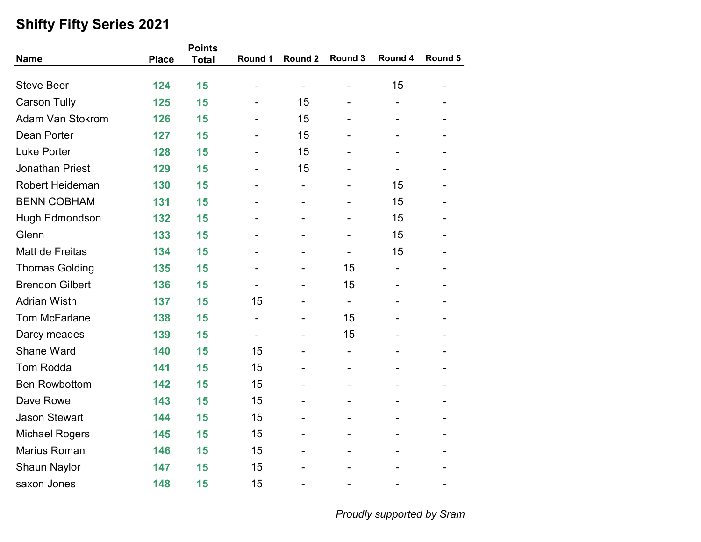|                         |              | <b>Points</b> |                          |                          |                              |                          |         |
|-------------------------|--------------|---------------|--------------------------|--------------------------|------------------------------|--------------------------|---------|
| <b>Name</b>             | <b>Place</b> | <b>Total</b>  | Round 1                  | Round 2                  | Round 3                      | Round 4                  | Round 5 |
| <b>Steve Beer</b>       | 124          | 15            |                          | $\overline{\phantom{a}}$ | -                            | 15                       |         |
| <b>Carson Tully</b>     | 125          | 15            |                          | 15                       |                              |                          |         |
| <b>Adam Van Stokrom</b> | 126          | 15            |                          | 15                       | $\blacksquare$               | $\blacksquare$           |         |
| Dean Porter             | 127          | 15            |                          | 15                       |                              |                          |         |
| <b>Luke Porter</b>      | 128          | 15            |                          | 15                       |                              |                          |         |
| <b>Jonathan Priest</b>  | 129          | 15            |                          | 15                       | $\blacksquare$               |                          |         |
| <b>Robert Heideman</b>  | 130          | 15            |                          | $\blacksquare$           |                              | 15                       |         |
| <b>BENN COBHAM</b>      | 131          | 15            |                          | $\blacksquare$           | $\overline{\phantom{0}}$     | 15                       |         |
| Hugh Edmondson          | 132          | 15            |                          |                          |                              | 15                       |         |
| Glenn                   | 133          | 15            |                          |                          |                              | 15                       |         |
| Matt de Freitas         | 134          | 15            |                          |                          |                              | 15                       |         |
| <b>Thomas Golding</b>   | 135          | 15            |                          |                          | 15                           |                          |         |
| <b>Brendon Gilbert</b>  | 136          | 15            | $\overline{\phantom{a}}$ |                          | 15                           | $\overline{\phantom{0}}$ |         |
| <b>Adrian Wisth</b>     | 137          | 15            | 15                       |                          | $\overline{\phantom{a}}$     |                          |         |
| <b>Tom McFarlane</b>    | 138          | 15            | $\overline{\phantom{a}}$ |                          | 15                           |                          |         |
| Darcy meades            | 139          | 15            |                          |                          | 15                           |                          |         |
| Shane Ward              | 140          | 15            | 15                       |                          | $\overline{\phantom{a}}$     |                          |         |
| <b>Tom Rodda</b>        | 141          | 15            | 15                       |                          | $\qquad \qquad \blacksquare$ |                          |         |
| <b>Ben Rowbottom</b>    | 142          | 15            | 15                       |                          |                              |                          |         |
| Dave Rowe               | 143          | 15            | 15                       |                          |                              |                          |         |
| <b>Jason Stewart</b>    | 144          | 15            | 15                       | $\blacksquare$           |                              |                          |         |
| <b>Michael Rogers</b>   | 145          | 15            | 15                       |                          |                              |                          |         |
| Marius Roman            | 146          | 15            | 15                       |                          |                              |                          |         |
| <b>Shaun Naylor</b>     | 147          | 15            | 15                       |                          |                              |                          |         |
| saxon Jones             | 148          | 15            | 15                       |                          |                              |                          |         |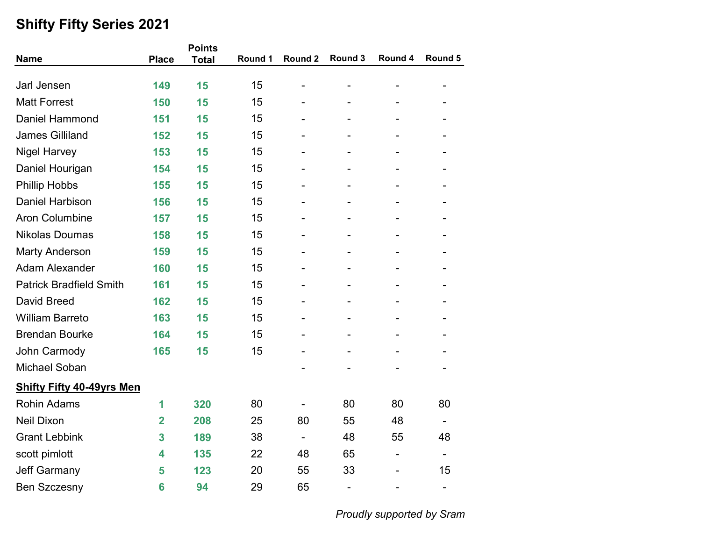|                                  |                | <b>Points</b> |         |         |                          |                              |                          |
|----------------------------------|----------------|---------------|---------|---------|--------------------------|------------------------------|--------------------------|
| <b>Name</b>                      | <b>Place</b>   | <b>Total</b>  | Round 1 | Round 2 | Round 3                  | Round 4                      | Round 5                  |
|                                  |                |               |         |         |                          |                              |                          |
| Jarl Jensen                      | 149            | 15            | 15      |         | ÷,                       | $\overline{a}$               | -                        |
| <b>Matt Forrest</b>              | 150            | 15            | 15      |         |                          |                              |                          |
| Daniel Hammond                   | 151            | 15            | 15      | ۰       | $\overline{\phantom{0}}$ | -                            |                          |
| <b>James Gilliland</b>           | 152            | 15            | 15      |         |                          |                              |                          |
| <b>Nigel Harvey</b>              | 153            | 15            | 15      |         |                          |                              |                          |
| Daniel Hourigan                  | 154            | 15            | 15      |         |                          |                              |                          |
| <b>Phillip Hobbs</b>             | 155            | 15            | 15      |         |                          |                              |                          |
| <b>Daniel Harbison</b>           | 156            | 15            | 15      |         |                          |                              |                          |
| <b>Aron Columbine</b>            | 157            | 15            | 15      |         |                          |                              |                          |
| <b>Nikolas Doumas</b>            | 158            | 15            | 15      |         |                          |                              |                          |
| <b>Marty Anderson</b>            | 159            | 15            | 15      |         | $\blacksquare$           | $\blacksquare$               |                          |
| <b>Adam Alexander</b>            | 160            | 15            | 15      |         |                          |                              |                          |
| <b>Patrick Bradfield Smith</b>   | 161            | 15            | 15      |         |                          |                              |                          |
| <b>David Breed</b>               | 162            | 15            | 15      |         |                          |                              |                          |
| <b>William Barreto</b>           | 163            | 15            | 15      |         |                          |                              |                          |
| <b>Brendan Bourke</b>            | 164            | 15            | 15      |         | $\blacksquare$           | $\blacksquare$               |                          |
| John Carmody                     | 165            | 15            | 15      |         |                          |                              |                          |
| <b>Michael Soban</b>             |                |               |         |         |                          |                              |                          |
| <b>Shifty Fifty 40-49yrs Men</b> |                |               |         |         |                          |                              |                          |
| <b>Rohin Adams</b>               | 1              | 320           | 80      |         | 80                       | 80                           | 80                       |
| <b>Neil Dixon</b>                | $\overline{2}$ | 208           | 25      | 80      | 55                       | 48                           |                          |
| <b>Grant Lebbink</b>             | 3              | 189           | 38      |         | 48                       | 55                           | 48                       |
| scott pimlott                    | 4              | 135           | 22      | 48      | 65                       | $\qquad \qquad \blacksquare$ | $\overline{\phantom{a}}$ |
| <b>Jeff Garmany</b>              | 5              | 123           | 20      | 55      | 33                       |                              | 15                       |
| <b>Ben Szczesny</b>              | 6              | 94            | 29      | 65      | $\overline{\phantom{0}}$ |                              | $\overline{\phantom{a}}$ |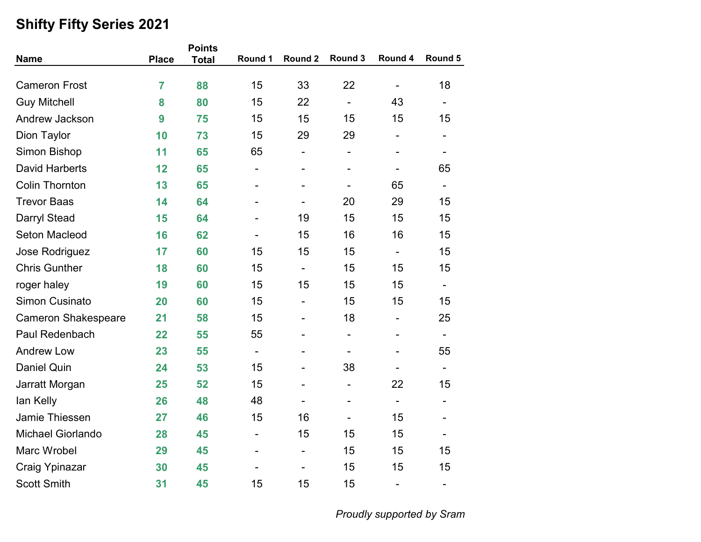| <b>Name</b>                | <b>Place</b>   | <b>Points</b> | Round 1                  | Round 2                  | Round 3                      | Round 4                      | Round 5                      |
|----------------------------|----------------|---------------|--------------------------|--------------------------|------------------------------|------------------------------|------------------------------|
|                            |                | <b>Total</b>  |                          |                          |                              |                              |                              |
| <b>Cameron Frost</b>       | $\overline{7}$ | 88            | 15                       | 33                       | 22                           | $\overline{\phantom{a}}$     | 18                           |
| <b>Guy Mitchell</b>        | 8              | 80            | 15                       | 22                       | $\overline{\phantom{a}}$     | 43                           | $\overline{\phantom{a}}$     |
| Andrew Jackson             | 9              | 75            | 15                       | 15                       | 15                           | 15                           | 15                           |
| Dion Taylor                | 10             | 73            | 15                       | 29                       | 29                           | $\overline{\phantom{0}}$     |                              |
| Simon Bishop               | 11             | 65            | 65                       | -                        | $\overline{\phantom{0}}$     | $\overline{\phantom{0}}$     | $\overline{\phantom{a}}$     |
| <b>David Harberts</b>      | 12             | 65            |                          | $\overline{\phantom{0}}$ | $\qquad \qquad \blacksquare$ |                              | 65                           |
| <b>Colin Thornton</b>      | 13             | 65            |                          | $\overline{\phantom{0}}$ | $\qquad \qquad \blacksquare$ | 65                           | $\overline{\phantom{a}}$     |
| <b>Trevor Baas</b>         | 14             | 64            |                          | $\overline{\phantom{a}}$ | 20                           | 29                           | 15                           |
| Darryl Stead               | 15             | 64            |                          | 19                       | 15                           | 15                           | 15                           |
| <b>Seton Macleod</b>       | 16             | 62            |                          | 15                       | 16                           | 16                           | 15                           |
| Jose Rodriguez             | 17             | 60            | 15                       | 15                       | 15                           | $\blacksquare$               | 15                           |
| <b>Chris Gunther</b>       | 18             | 60            | 15                       | $\overline{\phantom{a}}$ | 15                           | 15                           | 15                           |
| roger haley                | 19             | 60            | 15                       | 15                       | 15                           | 15                           | $\qquad \qquad \blacksquare$ |
| Simon Cusinato             | 20             | 60            | 15                       | -                        | 15                           | 15                           | 15                           |
| <b>Cameron Shakespeare</b> | 21             | 58            | 15                       | -                        | 18                           | $\qquad \qquad \blacksquare$ | 25                           |
| Paul Redenbach             | 22             | 55            | 55                       | $\overline{\phantom{0}}$ | $\overline{\phantom{a}}$     | $\overline{\phantom{a}}$     | $\overline{\phantom{a}}$     |
| <b>Andrew Low</b>          | 23             | 55            | $\overline{\phantom{0}}$ | -                        | $\qquad \qquad \blacksquare$ |                              | 55                           |
| Daniel Quin                | 24             | 53            | 15                       |                          | 38                           |                              | $\overline{\phantom{a}}$     |
| Jarratt Morgan             | 25             | 52            | 15                       |                          | -                            | 22                           | 15                           |
| lan Kelly                  | 26             | 48            | 48                       | $\overline{\phantom{0}}$ | $\overline{\phantom{0}}$     | $\overline{\phantom{a}}$     | $\overline{\phantom{0}}$     |
| Jamie Thiessen             | 27             | 46            | 15                       | 16                       | $\overline{\phantom{a}}$     | 15                           | $\qquad \qquad \blacksquare$ |
| <b>Michael Giorlando</b>   | 28             | 45            | $\overline{\phantom{0}}$ | 15                       | 15                           | 15                           |                              |
| Marc Wrobel                | 29             | 45            | $\overline{a}$           | ÷,                       | 15                           | 15                           | 15                           |
| <b>Craig Ypinazar</b>      | 30             | 45            |                          | $\overline{\phantom{0}}$ | 15                           | 15                           | 15                           |
| <b>Scott Smith</b>         | 31             | 45            | 15                       | 15                       | 15                           | $\overline{\phantom{a}}$     | $\overline{\phantom{a}}$     |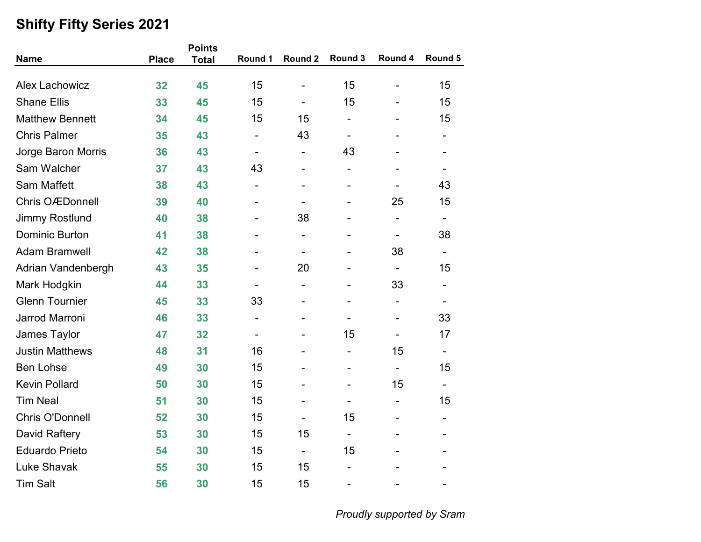|                        |              | <b>Points</b> |                          |                          |                          |                              |                              |
|------------------------|--------------|---------------|--------------------------|--------------------------|--------------------------|------------------------------|------------------------------|
| <b>Name</b>            | <b>Place</b> | <b>Total</b>  | Round 1                  | Round 2                  | Round 3                  | Round 4                      | Round 5                      |
|                        |              |               |                          |                          |                          |                              |                              |
| <b>Alex Lachowicz</b>  | 32           | 45            | 15                       | $\blacksquare$           | 15                       |                              | 15                           |
| <b>Shane Ellis</b>     | 33           | 45            | 15                       |                          | 15                       |                              | 15                           |
| <b>Matthew Bennett</b> | 34           | 45            | 15                       | 15                       | $\overline{a}$           |                              | 15                           |
| <b>Chris Palmer</b>    | 35           | 43            |                          | 43                       | -                        |                              |                              |
| Jorge Baron Morris     | 36           | 43            | $\overline{\phantom{0}}$ | -                        | 43                       |                              |                              |
| Sam Walcher            | 37           | 43            | 43                       | $\blacksquare$           | $\overline{\phantom{0}}$ |                              |                              |
| <b>Sam Maffett</b>     | 38           | 43            |                          |                          |                          |                              | 43                           |
| <b>Chris OÆDonnell</b> | 39           | 40            |                          | -                        | -                        | 25                           | 15                           |
| <b>Jimmy Rostlund</b>  | 40           | 38            |                          | 38                       |                          | $\overline{a}$               | -                            |
| <b>Dominic Burton</b>  | 41           | 38            |                          |                          |                          | $\qquad \qquad \blacksquare$ | 38                           |
| <b>Adam Bramwell</b>   | 42           | 38            |                          |                          |                          | 38                           |                              |
| Adrian Vandenbergh     | 43           | 35            |                          | 20                       |                          | $\overline{\phantom{a}}$     | 15                           |
| Mark Hodgkin           | 44           | 33            | -                        | $\blacksquare$           | $\overline{\phantom{0}}$ | 33                           | $\overline{\phantom{0}}$     |
| <b>Glenn Tournier</b>  | 45           | 33            | 33                       |                          |                          |                              |                              |
| Jarrod Marroni         | 46           | 33            | -                        |                          |                          |                              | 33                           |
| James Taylor           | 47           | 32            |                          |                          | 15                       |                              | 17                           |
| <b>Justin Matthews</b> | 48           | 31            | 16                       |                          | $\overline{a}$           | 15                           | $\qquad \qquad \blacksquare$ |
| <b>Ben Lohse</b>       | 49           | 30            | 15                       |                          | $\overline{\phantom{0}}$ | $\overline{\phantom{a}}$     | 15                           |
| <b>Kevin Pollard</b>   | 50           | 30            | 15                       |                          |                          | 15                           |                              |
| <b>Tim Neal</b>        | 51           | 30            | 15                       |                          | $\overline{\phantom{0}}$ | $\overline{\phantom{a}}$     | 15                           |
| <b>Chris O'Donnell</b> | 52           | 30            | 15                       |                          | 15                       |                              |                              |
| David Raftery          | 53           | 30            | 15                       | 15                       | $\overline{\phantom{a}}$ |                              |                              |
| <b>Eduardo Prieto</b>  | 54           | 30            | 15                       | $\overline{\phantom{a}}$ | 15                       |                              |                              |
| <b>Luke Shavak</b>     | 55           | 30            | 15                       | 15                       |                          |                              |                              |
| <b>Tim Salt</b>        | 56           | 30            | 15                       | 15                       |                          |                              |                              |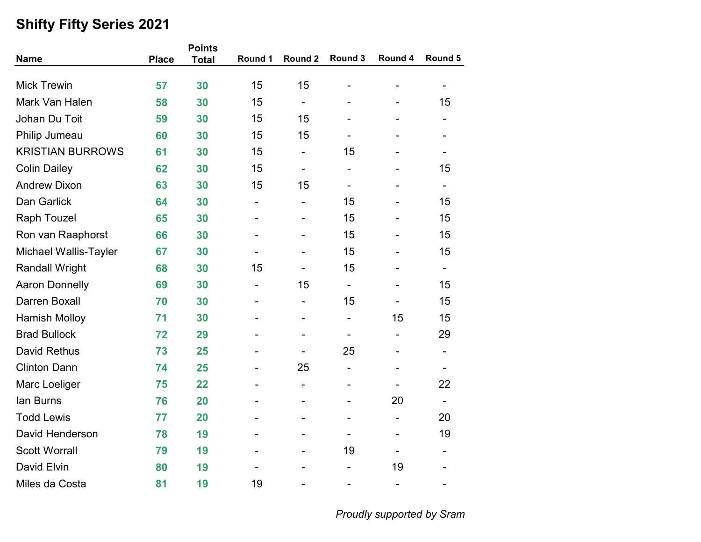| <b>Name</b>                  | <b>Place</b> | <b>Points</b> | Round 1                  | Round 2                      | Round 3                  | Round 4                  | Round 5                  |
|------------------------------|--------------|---------------|--------------------------|------------------------------|--------------------------|--------------------------|--------------------------|
|                              |              | <b>Total</b>  |                          |                              |                          |                          |                          |
| <b>Mick Trewin</b>           | 57           | 30            | 15                       | 15                           |                          |                          |                          |
| Mark Van Halen               | 58           | 30            | 15                       | $\overline{\phantom{0}}$     |                          |                          | 15                       |
| Johan Du Toit                | 59           | 30            | 15                       | 15                           |                          |                          |                          |
| Philip Jumeau                | 60           | 30            | 15                       | 15                           |                          |                          |                          |
| <b>KRISTIAN BURROWS</b>      | 61           | 30            | 15                       | $\qquad \qquad \blacksquare$ | 15                       |                          |                          |
| <b>Colin Dailey</b>          | 62           | 30            | 15                       | $\overline{\phantom{a}}$     | $\overline{\phantom{a}}$ |                          | 15                       |
| <b>Andrew Dixon</b>          | 63           | 30            | 15                       | 15                           |                          |                          |                          |
| Dan Garlick                  | 64           | 30            | $\overline{\phantom{a}}$ | $\overline{\phantom{a}}$     | 15                       | $\blacksquare$           | 15                       |
| <b>Raph Touzel</b>           | 65           | 30            |                          |                              | 15                       |                          | 15                       |
| Ron van Raaphorst            | 66           | 30            |                          |                              | 15                       |                          | 15                       |
| <b>Michael Wallis-Tayler</b> | 67           | 30            |                          |                              | 15                       |                          | 15                       |
| <b>Randall Wright</b>        | 68           | 30            | 15                       |                              | 15                       |                          | $\blacksquare$           |
| <b>Aaron Donnelly</b>        | 69           | 30            | $\overline{\phantom{a}}$ | 15                           | $\overline{\phantom{a}}$ | $\blacksquare$           | 15                       |
| Darren Boxall                | 70           | 30            |                          | -                            | 15                       |                          | 15                       |
| <b>Hamish Molloy</b>         | 71           | 30            |                          |                              | -                        | 15                       | 15                       |
| <b>Brad Bullock</b>          | 72           | 29            |                          |                              |                          |                          | 29                       |
| <b>David Rethus</b>          | 73           | 25            |                          |                              | 25                       |                          |                          |
| <b>Clinton Dann</b>          | 74           | 25            |                          | 25                           | $\overline{\phantom{a}}$ | $\blacksquare$           | $\overline{\phantom{0}}$ |
| Marc Loeliger                | 75           | 22            |                          | ÷,                           |                          |                          | 22                       |
| lan Burns                    | 76           | 20            |                          |                              |                          | 20                       | $\blacksquare$           |
| <b>Todd Lewis</b>            | 77           | 20            |                          |                              | $\blacksquare$           |                          | 20                       |
| David Henderson              | 78           | 19            |                          |                              |                          |                          | 19                       |
| <b>Scott Worrall</b>         | 79           | 19            |                          |                              | 19                       |                          |                          |
| David Elvin                  | 80           | 19            |                          |                              |                          | 19                       |                          |
| Miles da Costa               | 81           | 19            | 19                       |                              |                          | $\overline{\phantom{0}}$ |                          |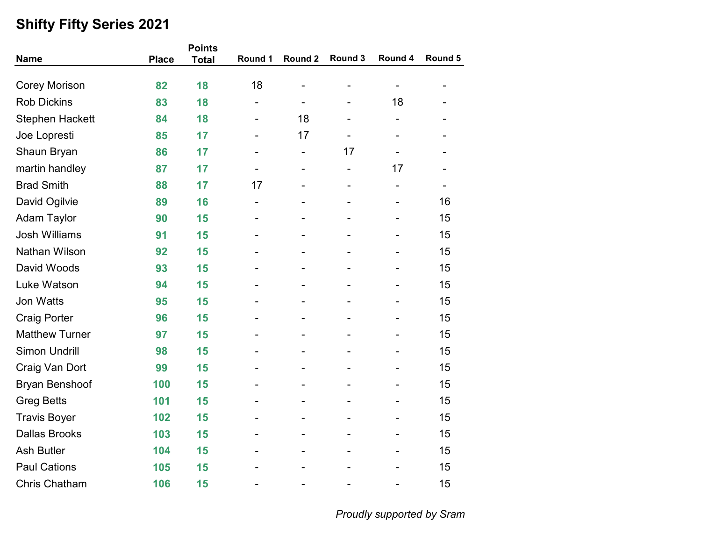|                        |              | <b>Points</b> |                              |                          |         |                          |         |
|------------------------|--------------|---------------|------------------------------|--------------------------|---------|--------------------------|---------|
| <b>Name</b>            | <b>Place</b> | <b>Total</b>  | Round 1                      | Round 2                  | Round 3 | Round 4                  | Round 5 |
| <b>Corey Morison</b>   | 82           | 18            | 18                           |                          |         |                          | -       |
| <b>Rob Dickins</b>     | 83           | 18            | -                            | $\overline{a}$           |         | 18                       |         |
| <b>Stephen Hackett</b> | 84           | 18            | $\overline{\phantom{a}}$     | 18                       | -       | -                        |         |
| Joe Lopresti           | 85           | 17            |                              | 17                       |         |                          |         |
| Shaun Bryan            | 86           | 17            |                              | $\overline{\phantom{0}}$ | 17      |                          |         |
| martin handley         | 87           | 17            |                              | ÷,                       |         | 17                       |         |
| <b>Brad Smith</b>      | 88           | 17            | 17                           |                          |         | $\overline{\phantom{0}}$ |         |
| David Ogilvie          | 89           | 16            | $\qquad \qquad \blacksquare$ | -                        | -       | $\overline{\phantom{a}}$ | 16      |
| <b>Adam Taylor</b>     | 90           | 15            |                              |                          |         |                          | 15      |
| <b>Josh Williams</b>   | 91           | 15            |                              |                          |         |                          | 15      |
| Nathan Wilson          | 92           | 15            |                              |                          |         |                          | 15      |
| David Woods            | 93           | 15            |                              |                          |         |                          | 15      |
| Luke Watson            | 94           | 15            | -                            | -                        |         |                          | 15      |
| Jon Watts              | 95           | 15            |                              |                          |         |                          | 15      |
| <b>Craig Porter</b>    | 96           | 15            |                              |                          |         |                          | 15      |
| <b>Matthew Turner</b>  | 97           | 15            |                              |                          |         | $\overline{\phantom{0}}$ | 15      |
| <b>Simon Undrill</b>   | 98           | 15            |                              |                          |         |                          | 15      |
| Craig Van Dort         | 99           | 15            | L,                           |                          |         |                          | 15      |
| <b>Bryan Benshoof</b>  | 100          | 15            |                              |                          |         |                          | 15      |
| <b>Greg Betts</b>      | 101          | 15            |                              |                          |         |                          | 15      |
| <b>Travis Boyer</b>    | 102          | 15            | -                            | -                        |         | $\overline{\phantom{a}}$ | 15      |
| <b>Dallas Brooks</b>   | 103          | 15            |                              |                          |         |                          | 15      |
| <b>Ash Butler</b>      | 104          | 15            |                              |                          |         |                          | 15      |
| <b>Paul Cations</b>    | 105          | 15            |                              |                          |         |                          | 15      |
| <b>Chris Chatham</b>   | 106          | 15            | $\overline{\phantom{a}}$     | -                        |         |                          | 15      |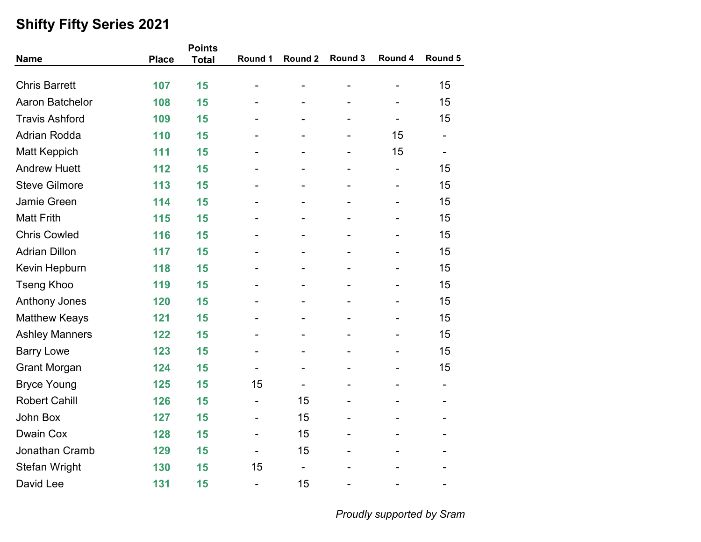| <b>Name</b>           | <b>Place</b> | <b>Points</b><br><b>Total</b> | Round 1                      | Round 2        | Round 3                      | Round 4                      | Round 5                      |
|-----------------------|--------------|-------------------------------|------------------------------|----------------|------------------------------|------------------------------|------------------------------|
|                       |              |                               |                              |                |                              |                              |                              |
| <b>Chris Barrett</b>  | 107          | 15                            |                              |                |                              |                              | 15                           |
| Aaron Batchelor       | 108          | 15                            |                              |                |                              |                              | 15                           |
| <b>Travis Ashford</b> | 109          | 15                            |                              |                | -                            | $\qquad \qquad \blacksquare$ | 15                           |
| <b>Adrian Rodda</b>   | 110          | 15                            |                              |                | -                            | 15                           | $\qquad \qquad \blacksquare$ |
| <b>Matt Keppich</b>   | 111          | 15                            |                              |                | $\overline{a}$               | 15                           | $\overline{\phantom{a}}$     |
| <b>Andrew Huett</b>   | 112          | 15                            |                              |                |                              | $\overline{\phantom{0}}$     | 15                           |
| <b>Steve Gilmore</b>  | 113          | 15                            |                              |                |                              | $\qquad \qquad \blacksquare$ | 15                           |
| Jamie Green           | 114          | 15                            |                              | $\blacksquare$ | -                            | $\overline{\phantom{a}}$     | 15                           |
| <b>Matt Frith</b>     | 115          | 15                            |                              |                |                              |                              | 15                           |
| <b>Chris Cowled</b>   | 116          | 15                            |                              |                |                              |                              | 15                           |
| <b>Adrian Dillon</b>  | 117          | 15                            |                              |                |                              |                              | 15                           |
| Kevin Hepburn         | 118          | 15                            |                              |                |                              |                              | 15                           |
| <b>Tseng Khoo</b>     | 119          | 15                            |                              |                | $\qquad \qquad \blacksquare$ | $\qquad \qquad \blacksquare$ | 15                           |
| <b>Anthony Jones</b>  | 120          | 15                            |                              |                |                              |                              | 15                           |
| <b>Matthew Keays</b>  | 121          | 15                            |                              |                |                              | L,                           | 15                           |
| <b>Ashley Manners</b> | 122          | 15                            |                              |                | $\overline{a}$               |                              | 15                           |
| <b>Barry Lowe</b>     | 123          | 15                            |                              |                |                              |                              | 15                           |
| <b>Grant Morgan</b>   | 124          | 15                            |                              |                | $\overline{a}$               | -                            | 15                           |
| <b>Bryce Young</b>    | 125          | 15                            | 15                           |                |                              |                              | $\overline{\phantom{a}}$     |
| <b>Robert Cahill</b>  | 126          | 15                            | $\qquad \qquad \blacksquare$ | 15             |                              |                              |                              |
| John Box              | 127          | 15                            | -                            | 15             | $\overline{\phantom{a}}$     |                              | -                            |
| <b>Dwain Cox</b>      | 128          | 15                            |                              | 15             | -                            |                              |                              |
| Jonathan Cramb        | 129          | 15                            |                              | 15             |                              |                              |                              |
| Stefan Wright         | 130          | 15                            | 15                           | Ξ.             |                              |                              |                              |
| David Lee             | 131          | 15                            | $\overline{\phantom{0}}$     | 15             | ۰                            | $\overline{\phantom{0}}$     | $\blacksquare$               |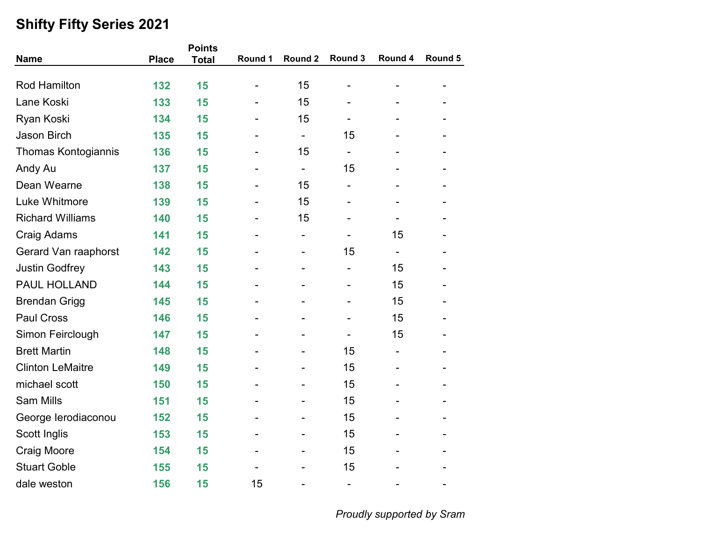|                            |              | <b>Points</b> |                              |                          |                              |                          |         |
|----------------------------|--------------|---------------|------------------------------|--------------------------|------------------------------|--------------------------|---------|
| <b>Name</b>                | <b>Place</b> | <b>Total</b>  | Round 1                      | Round 2                  | Round 3                      | Round 4                  | Round 5 |
|                            |              |               |                              |                          |                              |                          |         |
| <b>Rod Hamilton</b>        | 132          | 15            | $\qquad \qquad \blacksquare$ | 15                       | $\overline{a}$               |                          |         |
| Lane Koski                 | 133          | 15            |                              | 15                       |                              |                          |         |
| Ryan Koski                 | 134          | 15            |                              | 15                       | $\qquad \qquad \blacksquare$ |                          |         |
| <b>Jason Birch</b>         | 135          | 15            |                              | $\overline{\phantom{a}}$ | 15                           |                          |         |
| <b>Thomas Kontogiannis</b> | 136          | 15            |                              | 15                       | $\overline{\phantom{a}}$     |                          |         |
| Andy Au                    | 137          | 15            |                              | $\overline{\phantom{a}}$ | 15                           |                          |         |
| Dean Wearne                | 138          | 15            |                              | 15                       |                              |                          |         |
| Luke Whitmore              | 139          | 15            |                              | 15                       | $\blacksquare$               |                          |         |
| <b>Richard Williams</b>    | 140          | 15            |                              | 15                       |                              |                          |         |
| <b>Craig Adams</b>         | 141          | 15            |                              | $\overline{\phantom{a}}$ | -                            | 15                       |         |
| Gerard Van raaphorst       | 142          | 15            |                              |                          | 15                           |                          |         |
| <b>Justin Godfrey</b>      | 143          | 15            |                              |                          | $\overline{\phantom{a}}$     | 15                       |         |
| PAUL HOLLAND               | 144          | 15            |                              |                          | $\overline{\phantom{0}}$     | 15                       |         |
| <b>Brendan Grigg</b>       | 145          | 15            |                              |                          |                              | 15                       |         |
| <b>Paul Cross</b>          | 146          | 15            |                              |                          |                              | 15                       |         |
| Simon Feirclough           | 147          | 15            |                              |                          | $\overline{\phantom{0}}$     | 15                       |         |
| <b>Brett Martin</b>        | 148          | 15            |                              |                          | 15                           | $\overline{\phantom{0}}$ |         |
| <b>Clinton LeMaitre</b>    | 149          | 15            |                              |                          | 15                           |                          |         |
| michael scott              | 150          | 15            |                              |                          | 15                           |                          |         |
| <b>Sam Mills</b>           | 151          | 15            |                              |                          | 15                           |                          |         |
| George lerodiaconou        | 152          | 15            |                              |                          | 15                           |                          |         |
| Scott Inglis               | 153          | 15            |                              |                          | 15                           |                          |         |
| <b>Craig Moore</b>         | 154          | 15            |                              |                          | 15                           |                          |         |
| <b>Stuart Goble</b>        | 155          | 15            |                              |                          | 15                           |                          |         |
| dale weston                | 156          | 15            | 15                           |                          | $\overline{\phantom{m}}$     |                          |         |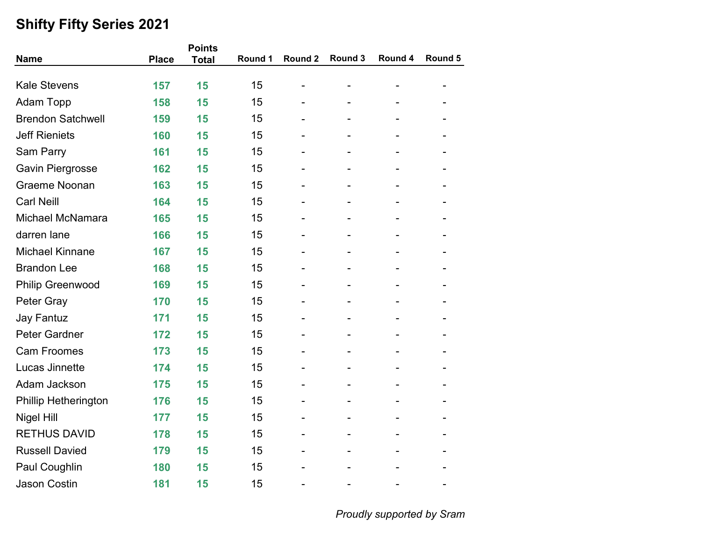|                          |              | <b>Points</b> |         |         |         |         |         |  |  |
|--------------------------|--------------|---------------|---------|---------|---------|---------|---------|--|--|
| <b>Name</b>              | <b>Place</b> | <b>Total</b>  | Round 1 | Round 2 | Round 3 | Round 4 | Round 5 |  |  |
|                          |              |               |         |         |         |         |         |  |  |
| <b>Kale Stevens</b>      | 157          | 15            | 15      |         |         |         |         |  |  |
| <b>Adam Topp</b>         | 158          | 15            | 15      |         |         |         |         |  |  |
| <b>Brendon Satchwell</b> | 159          | 15            | 15      |         |         |         |         |  |  |
| <b>Jeff Rieniets</b>     | 160          | 15            | 15      |         |         |         |         |  |  |
| Sam Parry                | 161          | 15            | 15      |         |         |         |         |  |  |
| <b>Gavin Piergrosse</b>  | 162          | 15            | 15      |         |         |         |         |  |  |
| <b>Graeme Noonan</b>     | 163          | 15            | 15      |         |         |         |         |  |  |
| <b>Carl Neill</b>        | 164          | 15            | 15      |         |         |         |         |  |  |
| Michael McNamara         | 165          | 15            | 15      |         |         |         |         |  |  |
| darren lane              | 166          | 15            | 15      |         |         |         |         |  |  |
| <b>Michael Kinnane</b>   | 167          | 15            | 15      |         |         |         |         |  |  |
| <b>Brandon Lee</b>       | 168          | 15            | 15      |         |         |         |         |  |  |
| <b>Philip Greenwood</b>  | 169          | 15            | 15      | ۰       | -       |         |         |  |  |
| Peter Gray               | 170          | 15            | 15      |         |         |         |         |  |  |
| <b>Jay Fantuz</b>        | 171          | 15            | 15      |         |         |         |         |  |  |
| <b>Peter Gardner</b>     | 172          | 15            | 15      |         |         |         |         |  |  |
| <b>Cam Froomes</b>       | 173          | 15            | 15      |         |         |         |         |  |  |
| Lucas Jinnette           | 174          | 15            | 15      |         |         |         |         |  |  |
| Adam Jackson             | 175          | 15            | 15      |         |         |         |         |  |  |
| Phillip Hetherington     | 176          | 15            | 15      |         |         |         |         |  |  |
| <b>Nigel Hill</b>        | 177          | 15            | 15      |         |         |         |         |  |  |
| <b>RETHUS DAVID</b>      | 178          | 15            | 15      |         |         |         |         |  |  |
| <b>Russell Davied</b>    | 179          | 15            | 15      |         |         |         |         |  |  |
| Paul Coughlin            | 180          | 15            | 15      |         |         |         |         |  |  |
| <b>Jason Costin</b>      | 181          | 15            | 15      |         |         |         |         |  |  |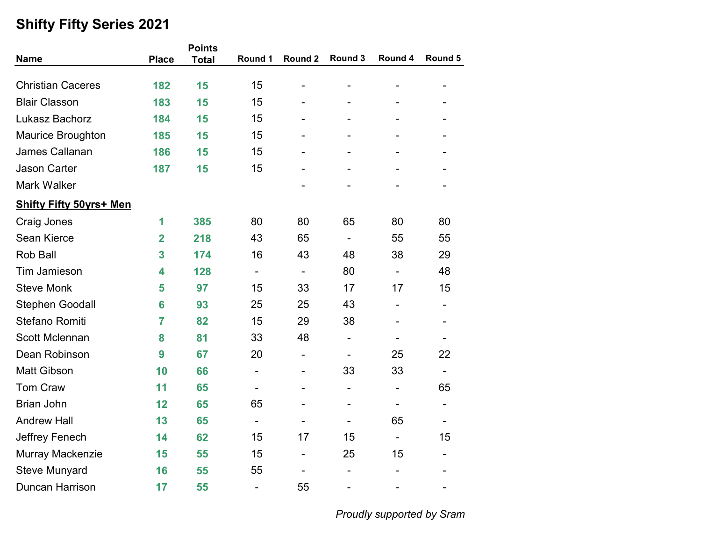|                                |                | <b>Points</b> |                              |                          |                              |                              |                |  |
|--------------------------------|----------------|---------------|------------------------------|--------------------------|------------------------------|------------------------------|----------------|--|
| <b>Name</b>                    | <b>Place</b>   | <b>Total</b>  | Round 1                      | Round 2                  | Round 3                      | Round 4                      | Round 5        |  |
|                                |                |               | 15                           |                          |                              |                              |                |  |
| <b>Christian Caceres</b>       | 182            | 15            |                              |                          | $\qquad \qquad \blacksquare$ | $\qquad \qquad \blacksquare$ |                |  |
| <b>Blair Classon</b>           | 183            | 15            | 15                           |                          |                              |                              |                |  |
| Lukasz Bachorz                 | 184            | 15            | 15                           |                          | $\overline{\phantom{0}}$     |                              |                |  |
| <b>Maurice Broughton</b>       | 185            | 15            | 15                           |                          |                              |                              |                |  |
| James Callanan                 | 186            | 15            | 15                           |                          |                              |                              |                |  |
| <b>Jason Carter</b>            | 187            | 15            | 15                           |                          |                              |                              |                |  |
| Mark Walker                    |                |               |                              |                          |                              |                              |                |  |
| <b>Shifty Fifty 50yrs+ Men</b> |                |               |                              |                          |                              |                              |                |  |
| <b>Craig Jones</b>             | 1              | 385           | 80                           | 80                       | 65                           | 80                           | 80             |  |
| Sean Kierce                    | $\overline{2}$ | 218           | 43                           | 65                       | $\overline{\phantom{a}}$     | 55                           | 55             |  |
| <b>Rob Ball</b>                | 3              | 174           | 16                           | 43                       | 48                           | 38                           | 29             |  |
| <b>Tim Jamieson</b>            | 4              | 128           | $\qquad \qquad \blacksquare$ | $\overline{\phantom{a}}$ | 80                           | $\overline{\phantom{a}}$     | 48             |  |
| <b>Steve Monk</b>              | 5              | 97            | 15                           | 33                       | 17                           | 17                           | 15             |  |
| <b>Stephen Goodall</b>         | 6              | 93            | 25                           | 25                       | 43                           | -                            |                |  |
| Stefano Romiti                 | $\overline{7}$ | 82            | 15                           | 29                       | 38                           |                              |                |  |
| <b>Scott Mclennan</b>          | 8              | 81            | 33                           | 48                       | $\overline{\phantom{a}}$     |                              |                |  |
| Dean Robinson                  | 9              | 67            | 20                           | $\overline{\phantom{0}}$ | $\qquad \qquad \blacksquare$ | 25                           | 22             |  |
| <b>Matt Gibson</b>             | 10             | 66            | -                            | -                        | 33                           | 33                           | $\blacksquare$ |  |
| Tom Craw                       | 11             | 65            | $\overline{\phantom{0}}$     |                          | $\qquad \qquad \blacksquare$ | $\qquad \qquad \blacksquare$ | 65             |  |
| <b>Brian John</b>              | 12             | 65            | 65                           |                          |                              | -                            |                |  |
| <b>Andrew Hall</b>             | 13             | 65            |                              |                          |                              | 65                           |                |  |
| Jeffrey Fenech                 | 14             | 62            | 15                           | 17                       | 15                           | $\overline{\phantom{a}}$     | 15             |  |
| Murray Mackenzie               | 15             | 55            | 15                           | $\overline{\phantom{a}}$ | 25                           | 15                           |                |  |
| <b>Steve Munyard</b>           | 16             | 55            | 55                           |                          |                              |                              |                |  |
| Duncan Harrison                | 17             | 55            | $\overline{\phantom{a}}$     | 55                       | $\overline{a}$               |                              |                |  |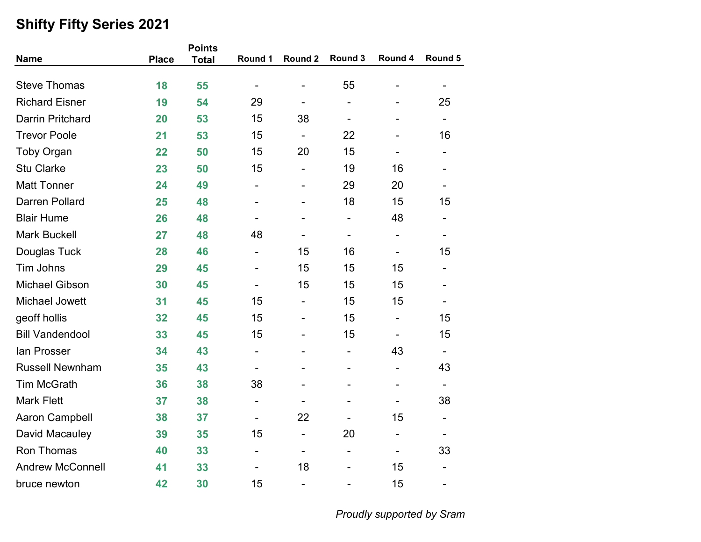|                         |              | <b>Points</b> |                              |                              |                              |                |                          |
|-------------------------|--------------|---------------|------------------------------|------------------------------|------------------------------|----------------|--------------------------|
| <b>Name</b>             | <b>Place</b> | <b>Total</b>  | Round 1                      | Round 2                      | Round 3                      | Round 4        | Round 5                  |
| <b>Steve Thomas</b>     | 18           | 55            | $\overline{\phantom{a}}$     | $\overline{a}$               | 55                           | -              |                          |
| <b>Richard Eisner</b>   | 19           | 54            | 29                           | $\overline{\phantom{0}}$     | $\overline{a}$               |                | 25                       |
| <b>Darrin Pritchard</b> | 20           | 53            | 15                           | 38                           | $\overline{\phantom{a}}$     |                | $\overline{\phantom{a}}$ |
| <b>Trevor Poole</b>     | 21           | 53            | 15                           | $\overline{\phantom{0}}$     | 22                           |                | 16                       |
| <b>Toby Organ</b>       | 22           | 50            | 15                           | 20                           | 15                           |                | $\overline{\phantom{0}}$ |
| <b>Stu Clarke</b>       | 23           | 50            | 15                           |                              | 19                           | 16             |                          |
| <b>Matt Tonner</b>      | 24           | 49            |                              | ÷                            | 29                           | 20             |                          |
| <b>Darren Pollard</b>   | 25           | 48            | $\overline{\phantom{a}}$     | ÷                            | 18                           | 15             | 15                       |
| <b>Blair Hume</b>       | 26           | 48            |                              |                              | $\overline{\phantom{a}}$     | 48             |                          |
| <b>Mark Buckell</b>     | 27           | 48            | 48                           |                              | $\overline{\phantom{a}}$     | -              | $\overline{\phantom{0}}$ |
| Douglas Tuck            | 28           | 46            | $\overline{\phantom{a}}$     | 15                           | 16                           | $\overline{a}$ | 15                       |
| Tim Johns               | 29           | 45            | $\overline{\phantom{a}}$     | 15                           | 15                           | 15             | $\overline{\phantom{a}}$ |
| <b>Michael Gibson</b>   | 30           | 45            | $\overline{\phantom{a}}$     | 15                           | 15                           | 15             |                          |
| Michael Jowett          | 31           | 45            | 15                           | $\overline{\phantom{0}}$     | 15                           | 15             |                          |
| geoff hollis            | 32           | 45            | 15                           | ÷                            | 15                           | $\overline{a}$ | 15                       |
| <b>Bill Vandendool</b>  | 33           | 45            | 15                           | $\overline{\phantom{0}}$     | 15                           | L,             | 15                       |
| lan Prosser             | 34           | 43            | $\overline{\phantom{a}}$     | -                            | $\overline{\phantom{a}}$     | 43             | $\blacksquare$           |
| <b>Russell Newnham</b>  | 35           | 43            | $\qquad \qquad \blacksquare$ |                              | $\qquad \qquad \blacksquare$ | -              | 43                       |
| <b>Tim McGrath</b>      | 36           | 38            | 38                           |                              |                              |                |                          |
| <b>Mark Flett</b>       | 37           | 38            | $\overline{\phantom{a}}$     |                              |                              |                | 38                       |
| <b>Aaron Campbell</b>   | 38           | 37            | $\overline{\phantom{a}}$     | 22                           | $\overline{\phantom{a}}$     | 15             | $\overline{\phantom{a}}$ |
| David Macauley          | 39           | 35            | 15                           | $\qquad \qquad \blacksquare$ | 20                           | ۰              |                          |
| <b>Ron Thomas</b>       | 40           | 33            | $\overline{\phantom{a}}$     | $\overline{\phantom{0}}$     | $\qquad \qquad \blacksquare$ |                | 33                       |
| <b>Andrew McConnell</b> | 41           | 33            | $\overline{\phantom{a}}$     | 18                           | $\overline{a}$               | 15             | -                        |
| bruce newton            | 42           | 30            | 15                           | $\overline{a}$               | $\overline{a}$               | 15             | -                        |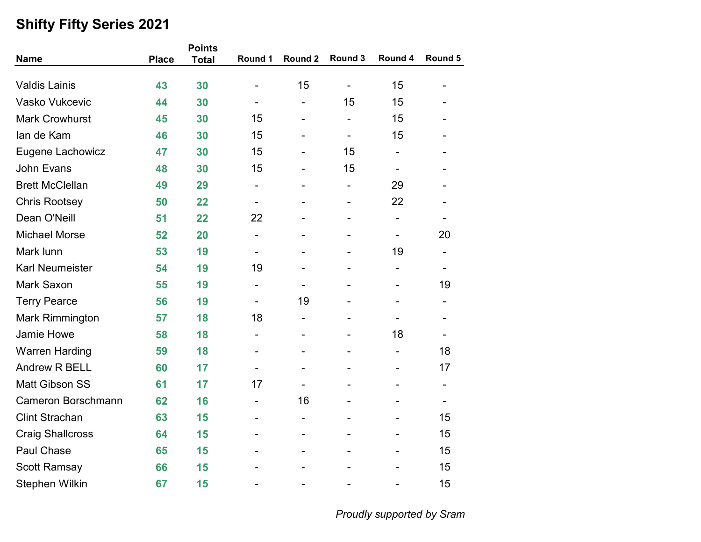|                           |              | <b>Points</b> |                              |                          |                              |                          |                              |
|---------------------------|--------------|---------------|------------------------------|--------------------------|------------------------------|--------------------------|------------------------------|
| <b>Name</b>               | <b>Place</b> | <b>Total</b>  | Round 1                      | Round 2                  | Round 3                      | Round 4                  | Round 5                      |
| <b>Valdis Lainis</b>      | 43           | 30            |                              | 15                       | $\overline{\phantom{a}}$     | 15                       |                              |
| Vasko Vukcevic            | 44           | 30            |                              | $\overline{\phantom{0}}$ | 15                           | 15                       |                              |
| <b>Mark Crowhurst</b>     | 45           | 30            | 15                           | $\overline{\phantom{a}}$ | $\overline{\phantom{0}}$     | 15                       |                              |
| lan de Kam                | 46           | 30            | 15                           | $\overline{\phantom{a}}$ | $\qquad \qquad \blacksquare$ | 15                       |                              |
| Eugene Lachowicz          | 47           | 30            | 15                           |                          | 15                           | Ξ.                       |                              |
| <b>John Evans</b>         | 48           | 30            | 15                           |                          | 15                           |                          |                              |
| <b>Brett McClellan</b>    | 49           | 29            | $\qquad \qquad \blacksquare$ | ۰                        | -                            | 29                       |                              |
| <b>Chris Rootsey</b>      | 50           | 22            | $\overline{\phantom{a}}$     | $\overline{a}$           | -                            | 22                       | $\overline{a}$               |
| Dean O'Neill              | 51           | 22            | 22                           |                          |                              |                          |                              |
| <b>Michael Morse</b>      | 52           | 20            | $\overline{\phantom{a}}$     |                          |                              | $\overline{\phantom{a}}$ | 20                           |
| Mark lunn                 | 53           | 19            |                              |                          |                              | 19                       | $\qquad \qquad \blacksquare$ |
| <b>Karl Neumeister</b>    | 54           | 19            | 19                           |                          |                              | $\overline{\phantom{a}}$ | $\qquad \qquad \blacksquare$ |
| Mark Saxon                | 55           | 19            | $\overline{\phantom{a}}$     | $\overline{\phantom{a}}$ |                              | -                        | 19                           |
| <b>Terry Pearce</b>       | 56           | 19            | $\overline{\phantom{a}}$     | 19                       |                              |                          |                              |
| <b>Mark Rimmington</b>    | 57           | 18            | 18                           | $\overline{\phantom{0}}$ |                              |                          |                              |
| Jamie Howe                | 58           | 18            | $\overline{\phantom{a}}$     | $\overline{\phantom{a}}$ |                              | 18                       |                              |
| <b>Warren Harding</b>     | 59           | 18            |                              | ۰                        |                              | $\overline{\phantom{0}}$ | 18                           |
| <b>Andrew R BELL</b>      | 60           | 17            | $\overline{\phantom{a}}$     |                          |                              |                          | 17                           |
| <b>Matt Gibson SS</b>     | 61           | 17            | 17                           |                          |                              |                          | $\qquad \qquad \blacksquare$ |
| <b>Cameron Borschmann</b> | 62           | 16            | $\qquad \qquad \blacksquare$ | 16                       |                              |                          |                              |
| <b>Clint Strachan</b>     | 63           | 15            | $\qquad \qquad \blacksquare$ | -                        |                              | -                        | 15                           |
| <b>Craig Shallcross</b>   | 64           | 15            |                              |                          |                              |                          | 15                           |
| Paul Chase                | 65           | 15            |                              |                          |                              |                          | 15                           |
| <b>Scott Ramsay</b>       | 66           | 15            |                              |                          |                              |                          | 15                           |
| Stephen Wilkin            | 67           | 15            | $\overline{a}$               | ۰                        |                              | -                        | 15                           |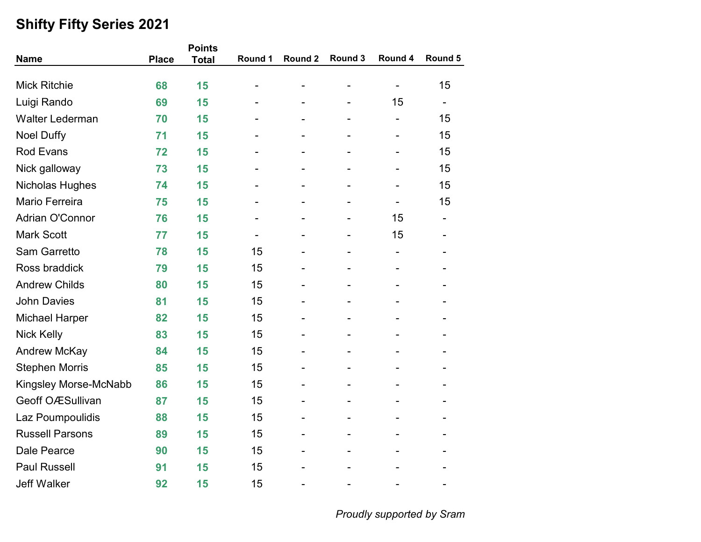| <b>Name</b>             | <b>Place</b> | <b>Points</b><br><b>Total</b> | Round 1        | Round 2        | Round 3        | Round 4                      | Round 5 |
|-------------------------|--------------|-------------------------------|----------------|----------------|----------------|------------------------------|---------|
|                         |              |                               |                |                |                |                              |         |
| <b>Mick Ritchie</b>     | 68           | 15                            | $\blacksquare$ |                |                | $\qquad \qquad \blacksquare$ | 15      |
| Luigi Rando             | 69           | 15                            |                |                |                | 15                           |         |
| <b>Walter Lederman</b>  | 70           | 15                            |                | -              | -              | -                            | 15      |
| <b>Noel Duffy</b>       | 71           | 15                            |                |                |                |                              | 15      |
| <b>Rod Evans</b>        | 72           | 15                            |                |                |                |                              | 15      |
| Nick galloway           | 73           | 15                            |                |                |                |                              | 15      |
| Nicholas Hughes         | 74           | 15                            |                |                |                |                              | 15      |
| Mario Ferreira          | 75           | 15                            |                | $\blacksquare$ | $\blacksquare$ | $\overline{\phantom{0}}$     | 15      |
| <b>Adrian O'Connor</b>  | 76           | 15                            |                |                |                | 15                           |         |
| <b>Mark Scott</b>       | 77           | 15                            |                |                |                | 15                           |         |
| <b>Sam Garretto</b>     | 78           | 15                            | 15             |                |                |                              |         |
| Ross braddick           | 79           | 15                            | 15             |                |                |                              |         |
| <b>Andrew Childs</b>    | 80           | 15                            | 15             |                |                |                              |         |
| <b>John Davies</b>      | 81           | 15                            | 15             |                |                |                              |         |
| <b>Michael Harper</b>   | 82           | 15                            | 15             |                |                |                              |         |
| <b>Nick Kelly</b>       | 83           | 15                            | 15             | $\blacksquare$ |                |                              |         |
| <b>Andrew McKay</b>     | 84           | 15                            | 15             |                |                |                              |         |
| <b>Stephen Morris</b>   | 85           | 15                            | 15             |                |                |                              |         |
| Kingsley Morse-McNabb   | 86           | 15                            | 15             |                |                |                              |         |
| <b>Geoff OÆSullivan</b> | 87           | 15                            | 15             |                |                |                              |         |
| Laz Poumpoulidis        | 88           | 15                            | 15             | -              | -              | -                            |         |
| <b>Russell Parsons</b>  | 89           | 15                            | 15             |                |                |                              |         |
| Dale Pearce             | 90           | 15                            | 15             |                |                |                              |         |
| <b>Paul Russell</b>     | 91           | 15                            | 15             |                |                |                              |         |
| <b>Jeff Walker</b>      | 92           | 15                            | 15             | $\blacksquare$ |                |                              |         |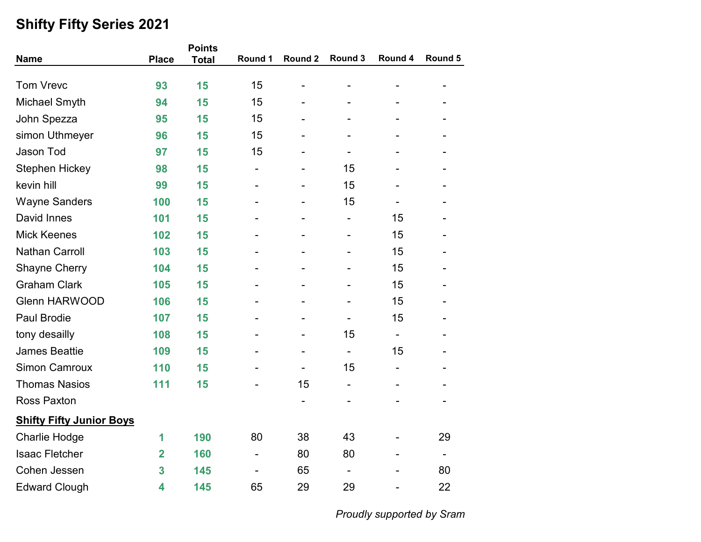|                                 |                         | <b>Points</b> |                              |                |                          |                          |                          |
|---------------------------------|-------------------------|---------------|------------------------------|----------------|--------------------------|--------------------------|--------------------------|
| <b>Name</b>                     | <b>Place</b>            | <b>Total</b>  | Round 1                      | Round 2        | Round 3                  | Round 4                  | Round 5                  |
| <b>Tom Vrevc</b>                | 93                      | 15            | 15                           |                |                          |                          |                          |
| Michael Smyth                   | 94                      | 15            | 15                           |                |                          |                          |                          |
| John Spezza                     | 95                      | 15            | 15                           |                |                          |                          |                          |
| simon Uthmeyer                  | 96                      | 15            | 15                           |                |                          |                          |                          |
| Jason Tod                       | 97                      | 15            | 15                           |                |                          |                          |                          |
| Stephen Hickey                  | 98                      | 15            | $\qquad \qquad \blacksquare$ |                | 15                       |                          |                          |
| kevin hill                      | 99                      | 15            |                              |                | 15                       |                          |                          |
| <b>Wayne Sanders</b>            | 100                     | 15            | $\overline{\phantom{a}}$     |                | 15                       | $\overline{\phantom{a}}$ |                          |
| David Innes                     | 101                     | 15            |                              |                |                          | 15                       |                          |
| <b>Mick Keenes</b>              | 102                     | 15            |                              |                |                          | 15                       |                          |
| <b>Nathan Carroll</b>           | 103                     | 15            |                              |                | $\blacksquare$           | 15                       |                          |
| <b>Shayne Cherry</b>            | 104                     | 15            |                              |                |                          | 15                       |                          |
| <b>Graham Clark</b>             | 105                     | 15            |                              |                |                          | 15                       |                          |
| <b>Glenn HARWOOD</b>            | 106                     | 15            |                              |                |                          | 15                       |                          |
| Paul Brodie                     | 107                     | 15            |                              |                |                          | 15                       |                          |
| tony desailly                   | 108                     | 15            |                              | $\blacksquare$ | 15                       | $\blacksquare$           |                          |
| <b>James Beattie</b>            | 109                     | 15            |                              |                | $\overline{\phantom{0}}$ | 15                       |                          |
| <b>Simon Camroux</b>            | 110                     | 15            |                              |                | 15                       |                          |                          |
| <b>Thomas Nasios</b>            | 111                     | 15            |                              | 15             | -                        |                          |                          |
| <b>Ross Paxton</b>              |                         |               |                              |                |                          |                          |                          |
| <b>Shifty Fifty Junior Boys</b> |                         |               |                              |                |                          |                          |                          |
| <b>Charlie Hodge</b>            | 1                       | 190           | 80                           | 38             | 43                       |                          | 29                       |
| <b>Isaac Fletcher</b>           | $\overline{\mathbf{2}}$ | 160           | $\qquad \qquad \blacksquare$ | 80             | 80                       |                          | $\overline{\phantom{a}}$ |
| Cohen Jessen                    | 3                       | 145           |                              | 65             |                          |                          | 80                       |
| <b>Edward Clough</b>            | 4                       | 145           | 65                           | 29             | 29                       |                          | 22                       |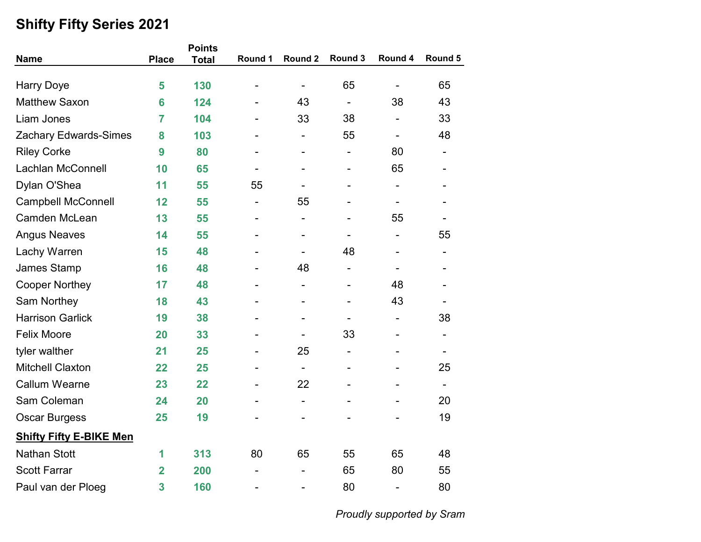|                                |                         | <b>Points</b> |                          |                          |                              |                          |                          |
|--------------------------------|-------------------------|---------------|--------------------------|--------------------------|------------------------------|--------------------------|--------------------------|
| <b>Name</b>                    | <b>Place</b>            | <b>Total</b>  | Round 1                  | Round 2                  | Round 3                      | Round 4                  | Round 5                  |
| <b>Harry Doye</b>              | 5                       | 130           | -                        |                          | 65                           | $\overline{\phantom{a}}$ | 65                       |
| <b>Matthew Saxon</b>           | 6                       | 124           |                          | 43                       | $\blacksquare$               | 38                       | 43                       |
| Liam Jones                     | 7                       | 104           | $\blacksquare$           | 33                       | 38                           | $\overline{\phantom{a}}$ | 33                       |
| <b>Zachary Edwards-Simes</b>   | 8                       | 103           |                          |                          | 55                           |                          | 48                       |
| <b>Riley Corke</b>             | 9                       | 80            |                          |                          | $\overline{\phantom{a}}$     | 80                       |                          |
| Lachlan McConnell              | 10                      | 65            | $\overline{\phantom{0}}$ |                          | $\qquad \qquad \blacksquare$ | 65                       |                          |
| Dylan O'Shea                   | 11                      | 55            | 55                       |                          | $\overline{a}$               | $\overline{\phantom{a}}$ |                          |
| <b>Campbell McConnell</b>      | 12                      | 55            | $\overline{\phantom{a}}$ | 55                       | $\overline{a}$               | $\overline{\phantom{a}}$ |                          |
| Camden McLean                  | 13                      | 55            |                          |                          |                              | 55                       |                          |
| <b>Angus Neaves</b>            | 14                      | 55            |                          |                          |                              | $\overline{\phantom{a}}$ | 55                       |
| Lachy Warren                   | 15                      | 48            |                          |                          | 48                           | $\overline{\phantom{a}}$ |                          |
| James Stamp                    | 16                      | 48            |                          | 48                       | -                            |                          |                          |
| <b>Cooper Northey</b>          | 17                      | 48            |                          |                          |                              | 48                       |                          |
| Sam Northey                    | 18                      | 43            |                          |                          | $\overline{a}$               | 43                       |                          |
| <b>Harrison Garlick</b>        | 19                      | 38            |                          |                          | $\qquad \qquad \blacksquare$ | $\overline{\phantom{a}}$ | 38                       |
| <b>Felix Moore</b>             | 20                      | 33            | -                        | $\overline{\phantom{a}}$ | 33                           | $\overline{\phantom{a}}$ | $\overline{\phantom{a}}$ |
| tyler walther                  | 21                      | 25            |                          | 25                       | $\overline{\phantom{0}}$     |                          |                          |
| <b>Mitchell Claxton</b>        | 22                      | 25            | -                        | $\overline{\phantom{a}}$ |                              |                          | 25                       |
| <b>Callum Wearne</b>           | 23                      | 22            |                          | 22                       | $\overline{a}$               |                          |                          |
| Sam Coleman                    | 24                      | 20            |                          | $\overline{\phantom{a}}$ | $\overline{a}$               |                          | 20                       |
| <b>Oscar Burgess</b>           | 25                      | 19            |                          |                          |                              |                          | 19                       |
| <b>Shifty Fifty E-BIKE Men</b> |                         |               |                          |                          |                              |                          |                          |
| <b>Nathan Stott</b>            | 1                       | 313           | 80                       | 65                       | 55                           | 65                       | 48                       |
| <b>Scott Farrar</b>            | $\mathbf 2$             | 200           |                          |                          | 65                           | 80                       | 55                       |
| Paul van der Ploeg             | $\overline{\mathbf{3}}$ | 160           | -                        |                          | 80                           | $\overline{\phantom{a}}$ | 80                       |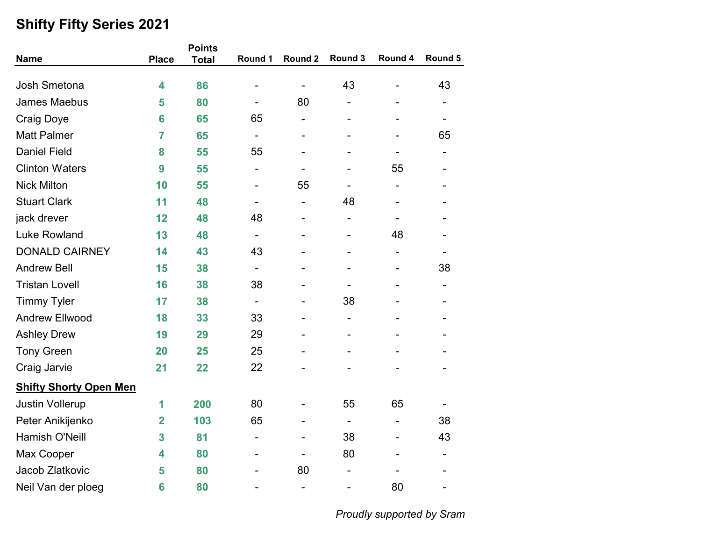|                               |                         | <b>Points</b> |                |                |                              |                          |                              |
|-------------------------------|-------------------------|---------------|----------------|----------------|------------------------------|--------------------------|------------------------------|
| <b>Name</b>                   | <b>Place</b>            | <b>Total</b>  | Round 1        | Round 2        | Round 3                      | Round 4                  | Round 5                      |
| <b>Josh Smetona</b>           | 4                       | 86            |                |                | 43                           |                          | 43                           |
| <b>James Maebus</b>           | 5                       | 80            |                | 80             |                              |                          |                              |
| <b>Craig Doye</b>             | 6                       | 65            | 65             | $\blacksquare$ | $\overline{a}$               |                          | Ξ.                           |
| <b>Matt Palmer</b>            | $\overline{7}$          | 65            |                |                |                              |                          | 65                           |
| <b>Daniel Field</b>           | 8                       | 55            | 55             |                |                              |                          |                              |
| <b>Clinton Waters</b>         | 9                       | 55            | $\overline{a}$ |                |                              | 55                       |                              |
| <b>Nick Milton</b>            | 10                      | 55            |                | 55             | $\overline{\phantom{0}}$     | $\overline{\phantom{a}}$ |                              |
| <b>Stuart Clark</b>           | 11                      | 48            | ۰              | -              | 48                           |                          |                              |
| jack drever                   | 12                      | 48            | 48             |                | -                            |                          |                              |
| <b>Luke Rowland</b>           | 13                      | 48            |                |                |                              | 48                       |                              |
| <b>DONALD CAIRNEY</b>         | 14                      | 43            | 43             |                | -                            | $\overline{\phantom{a}}$ | $\qquad \qquad \blacksquare$ |
| <b>Andrew Bell</b>            | 15                      | 38            |                |                |                              |                          | 38                           |
| <b>Tristan Lovell</b>         | 16                      | 38            | 38             |                |                              |                          |                              |
| <b>Timmy Tyler</b>            | 17                      | 38            |                |                | 38                           |                          |                              |
| <b>Andrew Ellwood</b>         | 18                      | 33            | 33             |                | $\overline{\phantom{0}}$     |                          |                              |
| <b>Ashley Drew</b>            | 19                      | 29            | 29             | ۰              | $\overline{\phantom{0}}$     | $\overline{\phantom{0}}$ |                              |
| <b>Tony Green</b>             | 20                      | 25            | 25             |                |                              |                          |                              |
| Craig Jarvie                  | 21                      | 22            | 22             |                |                              |                          |                              |
| <b>Shifty Shorty Open Men</b> |                         |               |                |                |                              |                          |                              |
| <b>Justin Vollerup</b>        | 1                       | 200           | 80             |                | 55                           | 65                       |                              |
| Peter Anikijenko              | $\overline{\mathbf{2}}$ | 103           | 65             |                | $\qquad \qquad \blacksquare$ |                          | 38                           |
| <b>Hamish O'Neill</b>         | 3                       | 81            | -              |                | 38                           |                          | 43                           |
| Max Cooper                    | 4                       | 80            |                |                | 80                           |                          | $\blacksquare$               |
| Jacob Zlatkovic               | 5                       | 80            |                | 80             |                              |                          |                              |
| Neil Van der ploeg            | 6                       | 80            |                | $\blacksquare$ |                              | 80                       | -                            |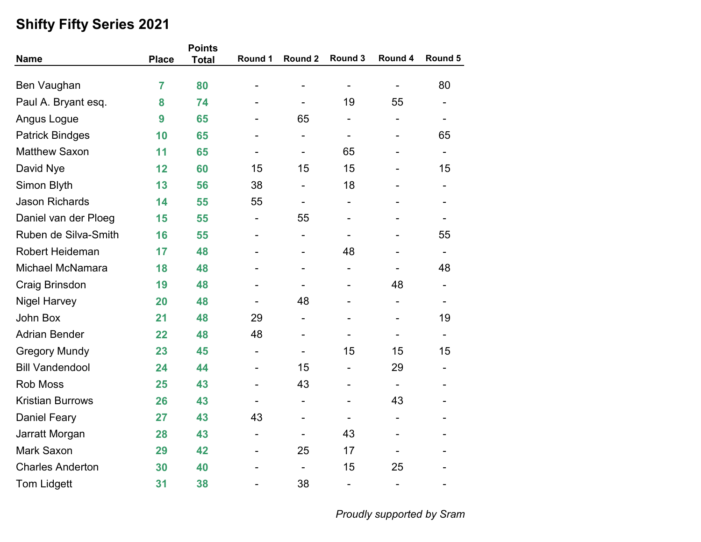|                         |                | <b>Points</b> |                              |                          |                              |                          |                              |
|-------------------------|----------------|---------------|------------------------------|--------------------------|------------------------------|--------------------------|------------------------------|
| <b>Name</b>             | <b>Place</b>   | <b>Total</b>  | Round 1                      | Round 2                  | Round 3                      | Round 4                  | Round 5                      |
| Ben Vaughan             | $\overline{7}$ | 80            |                              |                          |                              | $\overline{\phantom{0}}$ | 80                           |
| Paul A. Bryant esq.     | 8              | 74            |                              | $\overline{\phantom{a}}$ | 19                           | 55                       | $\overline{\phantom{a}}$     |
| Angus Logue             | 9              | 65            | -                            | 65                       | $\overline{\phantom{a}}$     | ۰                        | $\overline{\phantom{a}}$     |
| <b>Patrick Bindges</b>  | 10             | 65            |                              | $\overline{\phantom{a}}$ | $\overline{\phantom{a}}$     |                          | 65                           |
| <b>Matthew Saxon</b>    | 11             | 65            |                              | $\overline{\phantom{a}}$ | 65                           |                          | $\overline{\phantom{a}}$     |
| David Nye               | 12             | 60            | 15                           | 15                       | 15                           |                          | 15                           |
| Simon Blyth             | 13             | 56            | 38                           | $\overline{\phantom{a}}$ | 18                           |                          | $\overline{\phantom{a}}$     |
| <b>Jason Richards</b>   | 14             | 55            | 55                           | $\overline{\phantom{a}}$ | $\overline{\phantom{a}}$     |                          | $\qquad \qquad \blacksquare$ |
| Daniel van der Ploeg    | 15             | 55            | $\qquad \qquad \blacksquare$ | 55                       | $\blacksquare$               |                          |                              |
| Ruben de Silva-Smith    | 16             | 55            | $\overline{a}$               | $\overline{\phantom{a}}$ | $\overline{\phantom{0}}$     |                          | 55                           |
| <b>Robert Heideman</b>  | 17             | 48            |                              | $\overline{\phantom{a}}$ | 48                           |                          | $\overline{\phantom{a}}$     |
| <b>Michael McNamara</b> | 18             | 48            |                              | $\overline{a}$           | $\overline{\phantom{a}}$     |                          | 48                           |
| Craig Brinsdon          | 19             | 48            | -                            | $\overline{\phantom{a}}$ | $\overline{\phantom{a}}$     | 48                       | $\overline{\phantom{0}}$     |
| <b>Nigel Harvey</b>     | 20             | 48            |                              | 48                       |                              |                          |                              |
| John Box                | 21             | 48            | 29                           | $\overline{\phantom{a}}$ |                              |                          | 19                           |
| <b>Adrian Bender</b>    | 22             | 48            | 48                           | $\overline{\phantom{a}}$ | $\overline{\phantom{a}}$     |                          | $\overline{\phantom{a}}$     |
| <b>Gregory Mundy</b>    | 23             | 45            | $\qquad \qquad \blacksquare$ | $\overline{\phantom{a}}$ | 15                           | 15                       | 15                           |
| <b>Bill Vandendool</b>  | 24             | 44            | $\qquad \qquad \blacksquare$ | 15                       | $\overline{\phantom{a}}$     | 29                       | $\overline{\phantom{0}}$     |
| Rob Moss                | 25             | 43            | $\overline{\phantom{0}}$     | 43                       | $\overline{\phantom{a}}$     |                          |                              |
| <b>Kristian Burrows</b> | 26             | 43            | -                            | $\overline{\phantom{a}}$ | $\overline{\phantom{0}}$     | 43                       |                              |
| <b>Daniel Feary</b>     | 27             | 43            | 43                           | $\overline{\phantom{a}}$ | $\overline{\phantom{a}}$     | -                        | $\overline{\phantom{0}}$     |
| Jarratt Morgan          | 28             | 43            | $\qquad \qquad \blacksquare$ | $\overline{\phantom{a}}$ | 43                           |                          |                              |
| Mark Saxon              | 29             | 42            | -                            | 25                       | 17                           |                          |                              |
| <b>Charles Anderton</b> | 30             | 40            | $\overline{a}$               | $\overline{\phantom{a}}$ | 15                           | 25                       |                              |
| <b>Tom Lidgett</b>      | 31             | 38            | $\overline{\phantom{0}}$     | 38                       | $\qquad \qquad \blacksquare$ | $\overline{\phantom{0}}$ | $\overline{\phantom{a}}$     |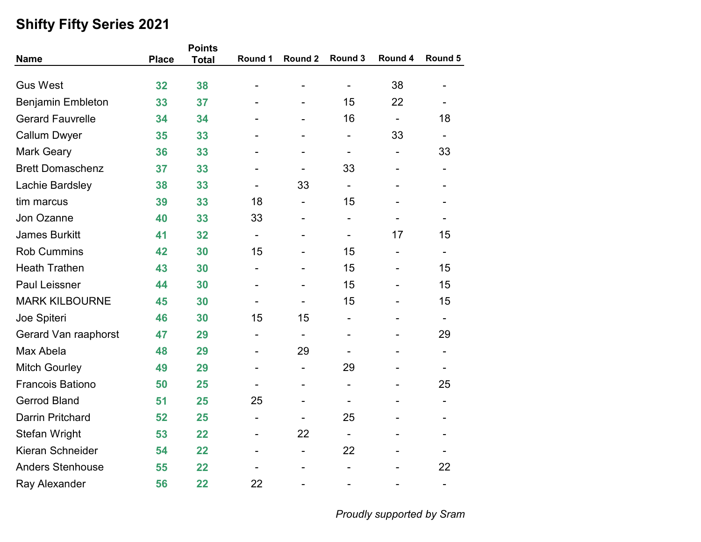| <b>Name</b>              | <b>Place</b> | <b>Points</b> | Round 1                  | Round 2                  | Round 3        | Round 4                  | Round 5                  |
|--------------------------|--------------|---------------|--------------------------|--------------------------|----------------|--------------------------|--------------------------|
|                          |              | <b>Total</b>  |                          |                          |                |                          |                          |
| <b>Gus West</b>          | 32           | 38            |                          |                          |                | 38                       |                          |
| <b>Benjamin Embleton</b> | 33           | 37            |                          |                          | 15             | 22                       |                          |
| <b>Gerard Fauvrelle</b>  | 34           | 34            |                          | $\overline{\phantom{0}}$ | 16             | $\blacksquare$           | 18                       |
| <b>Callum Dwyer</b>      | 35           | 33            |                          |                          |                | 33                       |                          |
| <b>Mark Geary</b>        | 36           | 33            |                          |                          | -              | $\overline{\phantom{0}}$ | 33                       |
| <b>Brett Domaschenz</b>  | 37           | 33            |                          |                          | 33             |                          |                          |
| Lachie Bardsley          | 38           | 33            |                          | 33                       |                |                          |                          |
| tim marcus               | 39           | 33            | 18                       | $\blacksquare$           | 15             |                          |                          |
| Jon Ozanne               | 40           | 33            | 33                       |                          | $\blacksquare$ |                          |                          |
| <b>James Burkitt</b>     | 41           | 32            | $\overline{\phantom{a}}$ |                          |                | 17                       | 15                       |
| <b>Rob Cummins</b>       | 42           | 30            | 15                       |                          | 15             |                          |                          |
| <b>Heath Trathen</b>     | 43           | 30            | -                        |                          | 15             |                          | 15                       |
| <b>Paul Leissner</b>     | 44           | 30            | $\overline{a}$           |                          | 15             |                          | 15                       |
| <b>MARK KILBOURNE</b>    | 45           | 30            |                          |                          | 15             |                          | 15                       |
| Joe Spiteri              | 46           | 30            | 15                       | 15                       |                |                          |                          |
| Gerard Van raaphorst     | 47           | 29            | $\overline{\phantom{a}}$ |                          | $\blacksquare$ |                          | 29                       |
| Max Abela                | 48           | 29            |                          | 29                       |                |                          |                          |
| <b>Mitch Gourley</b>     | 49           | 29            |                          | $\overline{\phantom{a}}$ | 29             |                          |                          |
| <b>Francois Bationo</b>  | 50           | 25            |                          | $\blacksquare$           | -              |                          | 25                       |
| <b>Gerrod Bland</b>      | 51           | 25            | 25                       |                          |                |                          |                          |
| <b>Darrin Pritchard</b>  | 52           | 25            | $\overline{\phantom{a}}$ |                          | 25             |                          |                          |
| <b>Stefan Wright</b>     | 53           | 22            |                          | 22                       |                |                          |                          |
| Kieran Schneider         | 54           | 22            |                          | $\blacksquare$           | 22             |                          |                          |
| <b>Anders Stenhouse</b>  | 55           | 22            |                          |                          |                |                          | 22                       |
| Ray Alexander            | 56           | 22            | 22                       |                          |                |                          | $\overline{\phantom{a}}$ |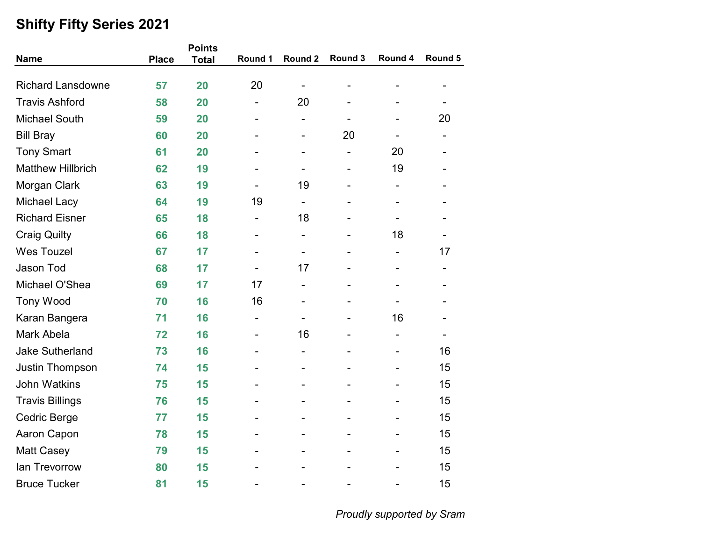| <b>Name</b>              | <b>Place</b> | <b>Points</b><br><b>Total</b> | Round 1                  | Round 2                  | Round 3                  | Round 4                  | Round 5 |
|--------------------------|--------------|-------------------------------|--------------------------|--------------------------|--------------------------|--------------------------|---------|
|                          |              |                               |                          |                          |                          |                          |         |
| <b>Richard Lansdowne</b> | 57           | 20                            | 20                       |                          |                          |                          |         |
| <b>Travis Ashford</b>    | 58           | 20                            | $\overline{\phantom{0}}$ | 20                       |                          |                          |         |
| <b>Michael South</b>     | 59           | 20                            | $\overline{\phantom{0}}$ | $\overline{\phantom{a}}$ | $\overline{\phantom{a}}$ |                          | 20      |
| <b>Bill Bray</b>         | 60           | 20                            |                          | $\overline{\phantom{0}}$ | 20                       |                          |         |
| <b>Tony Smart</b>        | 61           | 20                            |                          | $\blacksquare$           | $\overline{\phantom{a}}$ | 20                       |         |
| <b>Matthew Hillbrich</b> | 62           | 19                            |                          | $\overline{\phantom{0}}$ | $\blacksquare$           | 19                       |         |
| Morgan Clark             | 63           | 19                            |                          | 19                       |                          |                          |         |
| <b>Michael Lacy</b>      | 64           | 19                            | 19                       | $\overline{\phantom{a}}$ | $\overline{a}$           | $\overline{\phantom{a}}$ |         |
| <b>Richard Eisner</b>    | 65           | 18                            | -                        | 18                       |                          |                          |         |
| <b>Craig Quilty</b>      | 66           | 18                            | $\overline{\phantom{0}}$ | $\overline{\phantom{a}}$ |                          | 18                       |         |
| <b>Wes Touzel</b>        | 67           | 17                            |                          | $\blacksquare$           |                          |                          | 17      |
| Jason Tod                | 68           | 17                            |                          | 17                       |                          |                          |         |
| Michael O'Shea           | 69           | 17                            | 17                       | $\blacksquare$           | $\blacksquare$           | $\overline{\phantom{0}}$ |         |
| <b>Tony Wood</b>         | 70           | 16                            | 16                       |                          |                          |                          |         |
| Karan Bangera            | 71           | 16                            | $\overline{\phantom{a}}$ |                          |                          | 16                       |         |
| Mark Abela               | 72           | 16                            | $\overline{\phantom{0}}$ | 16                       |                          |                          |         |
| <b>Jake Sutherland</b>   | 73           | 16                            |                          |                          |                          |                          | 16      |
| Justin Thompson          | 74           | 15                            |                          | $\blacksquare$           | $\overline{\phantom{0}}$ |                          | 15      |
| <b>John Watkins</b>      | 75           | 15                            |                          |                          |                          |                          | 15      |
| <b>Travis Billings</b>   | 76           | 15                            |                          |                          |                          |                          | 15      |
| Cedric Berge             | 77           | 15                            |                          |                          | $\overline{a}$           |                          | 15      |
| Aaron Capon              | 78           | 15                            |                          |                          |                          |                          | 15      |
| <b>Matt Casey</b>        | 79           | 15                            |                          |                          |                          |                          | 15      |
| lan Trevorrow            | 80           | 15                            |                          |                          |                          |                          | 15      |
| <b>Bruce Tucker</b>      | 81           | 15                            |                          |                          |                          |                          | 15      |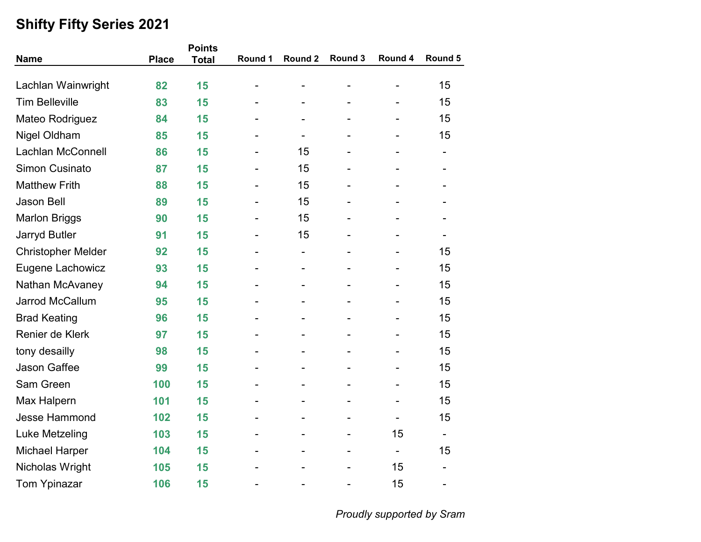|                                                                                                                                                                           |                                                                                                                                                                                                |                              |                          | Round 5                      |
|---------------------------------------------------------------------------------------------------------------------------------------------------------------------------|------------------------------------------------------------------------------------------------------------------------------------------------------------------------------------------------|------------------------------|--------------------------|------------------------------|
|                                                                                                                                                                           |                                                                                                                                                                                                |                              |                          | 15                           |
|                                                                                                                                                                           |                                                                                                                                                                                                |                              |                          | 15                           |
| -                                                                                                                                                                         | $\blacksquare$                                                                                                                                                                                 | $\qquad \qquad \blacksquare$ | -                        | 15                           |
|                                                                                                                                                                           |                                                                                                                                                                                                |                              |                          | 15                           |
|                                                                                                                                                                           | 15                                                                                                                                                                                             |                              |                          | -                            |
| $\overline{a}$                                                                                                                                                            | 15                                                                                                                                                                                             | $\overline{\phantom{0}}$     |                          |                              |
| $\overline{\phantom{0}}$                                                                                                                                                  | 15                                                                                                                                                                                             | $\overline{\phantom{0}}$     |                          |                              |
| $\overline{\phantom{0}}$                                                                                                                                                  | 15                                                                                                                                                                                             | $\overline{\phantom{0}}$     |                          |                              |
|                                                                                                                                                                           | 15                                                                                                                                                                                             |                              |                          |                              |
|                                                                                                                                                                           | 15                                                                                                                                                                                             |                              |                          |                              |
| -                                                                                                                                                                         | $\overline{\phantom{a}}$                                                                                                                                                                       | $\overline{\phantom{0}}$     |                          | 15                           |
|                                                                                                                                                                           |                                                                                                                                                                                                |                              |                          | 15                           |
|                                                                                                                                                                           |                                                                                                                                                                                                |                              |                          | 15                           |
|                                                                                                                                                                           |                                                                                                                                                                                                |                              |                          | 15                           |
|                                                                                                                                                                           |                                                                                                                                                                                                |                              |                          | 15                           |
|                                                                                                                                                                           |                                                                                                                                                                                                | $\overline{\phantom{0}}$     | $\overline{\phantom{0}}$ | 15                           |
|                                                                                                                                                                           |                                                                                                                                                                                                |                              |                          | 15                           |
|                                                                                                                                                                           |                                                                                                                                                                                                |                              |                          | 15                           |
|                                                                                                                                                                           | -                                                                                                                                                                                              | $\qquad \qquad \blacksquare$ |                          | 15                           |
|                                                                                                                                                                           |                                                                                                                                                                                                | $\overline{\phantom{0}}$     |                          | 15                           |
|                                                                                                                                                                           |                                                                                                                                                                                                | $\qquad \qquad \blacksquare$ | $\overline{\phantom{0}}$ | 15                           |
|                                                                                                                                                                           |                                                                                                                                                                                                |                              | 15                       |                              |
|                                                                                                                                                                           |                                                                                                                                                                                                | $\qquad \qquad \blacksquare$ | $\overline{\phantom{0}}$ | 15                           |
| -                                                                                                                                                                         |                                                                                                                                                                                                | $\qquad \qquad \blacksquare$ | 15                       | $\qquad \qquad \blacksquare$ |
|                                                                                                                                                                           |                                                                                                                                                                                                | $\overline{\phantom{0}}$     | 15                       | $\qquad \qquad \blacksquare$ |
| <b>Place</b><br>82<br>83<br>84<br>85<br>86<br>87<br>88<br>89<br>90<br>91<br>92<br>93<br>94<br>95<br>96<br>97<br>98<br>99<br>100<br>101<br>102<br>103<br>104<br>105<br>106 | <b>Points</b><br>Round 1<br><b>Total</b><br>15<br>15<br>15<br>15<br>15<br>15<br>15<br>15<br>15<br>15<br>15<br>15<br>15<br>15<br>15<br>15<br>15<br>15<br>15<br>15<br>15<br>15<br>15<br>15<br>15 | Round 2                      | Round 3                  | Round 4                      |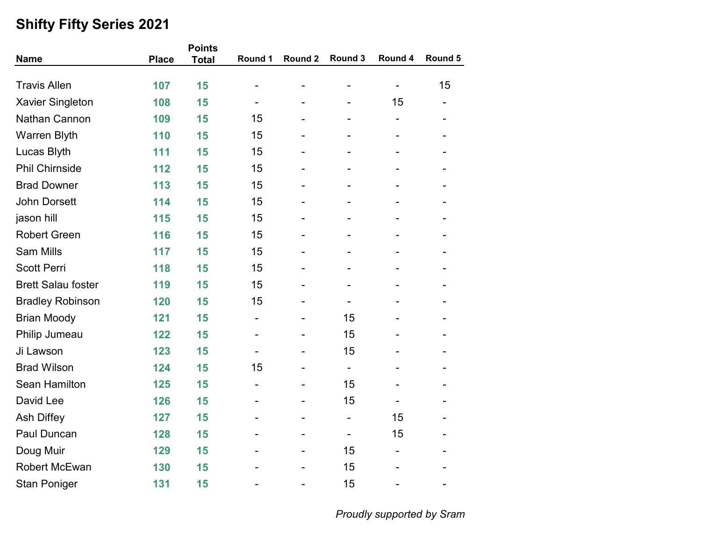|                           |              | <b>Points</b> |         |         |                          |                          |                              |
|---------------------------|--------------|---------------|---------|---------|--------------------------|--------------------------|------------------------------|
| <b>Name</b>               | <b>Place</b> | <b>Total</b>  | Round 1 | Round 2 | Round 3                  | Round 4                  | Round 5                      |
| <b>Travis Allen</b>       | 107          | 15            |         |         |                          | $\overline{\phantom{a}}$ | 15                           |
| <b>Xavier Singleton</b>   | 108          | 15            |         |         |                          | 15                       |                              |
| Nathan Cannon             | 109          | 15            | 15      |         |                          | $\overline{\phantom{a}}$ |                              |
| Warren Blyth              | 110          | 15            | 15      |         |                          |                          |                              |
| Lucas Blyth               | 111          | 15            | 15      |         |                          |                          |                              |
| <b>Phil Chirnside</b>     | 112          | 15            | 15      |         |                          |                          |                              |
| <b>Brad Downer</b>        | 113          | 15            | 15      |         |                          |                          |                              |
| <b>John Dorsett</b>       | 114          | 15            | 15      |         | -                        |                          |                              |
| jason hill                | 115          | 15            | 15      |         |                          |                          |                              |
| <b>Robert Green</b>       | 116          | 15            | 15      |         |                          |                          |                              |
| <b>Sam Mills</b>          | 117          | 15            | 15      |         |                          |                          |                              |
| <b>Scott Perri</b>        | 118          | 15            | 15      |         |                          |                          |                              |
| <b>Brett Salau foster</b> | 119          | 15            | 15      | ۰       | $\overline{a}$           |                          |                              |
| <b>Bradley Robinson</b>   | 120          | 15            | 15      |         |                          |                          |                              |
| <b>Brian Moody</b>        | 121          | 15            | -       |         | 15                       |                          |                              |
| Philip Jumeau             | 122          | 15            |         |         | 15                       |                          |                              |
| Ji Lawson                 | 123          | 15            |         |         | 15                       |                          |                              |
| <b>Brad Wilson</b>        | 124          | 15            | 15      |         | $\overline{\phantom{a}}$ |                          |                              |
| Sean Hamilton             | 125          | 15            |         |         | 15                       |                          |                              |
| David Lee                 | 126          | 15            |         |         | 15                       |                          |                              |
| Ash Diffey                | 127          | 15            |         |         | $\overline{\phantom{a}}$ | 15                       |                              |
| Paul Duncan               | 128          | 15            |         |         | $\overline{\phantom{a}}$ | 15                       |                              |
| Doug Muir                 | 129          | 15            |         |         | 15                       | -                        |                              |
| <b>Robert McEwan</b>      | 130          | 15            |         |         | 15                       |                          |                              |
| <b>Stan Poniger</b>       | 131          | 15            |         |         | 15                       |                          | $\qquad \qquad \blacksquare$ |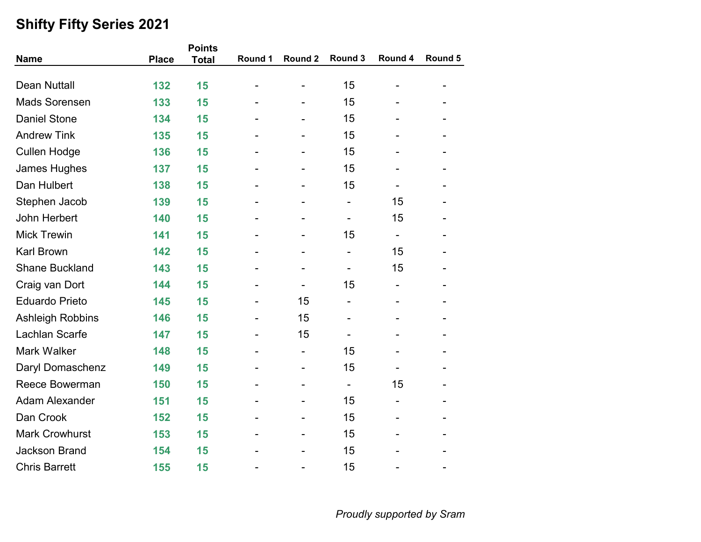|                       |              | <b>Points</b> |         |                |                |         |         |
|-----------------------|--------------|---------------|---------|----------------|----------------|---------|---------|
| <b>Name</b>           | <b>Place</b> | <b>Total</b>  | Round 1 | Round 2        | Round 3        | Round 4 | Round 5 |
|                       |              |               |         |                |                |         |         |
| <b>Dean Nuttall</b>   | 132          | 15            |         |                | 15             |         |         |
| <b>Mads Sorensen</b>  | 133          | 15            |         |                | 15             |         |         |
| <b>Daniel Stone</b>   | 134          | 15            |         |                | 15             |         |         |
| <b>Andrew Tink</b>    | 135          | 15            |         |                | 15             |         |         |
| <b>Cullen Hodge</b>   | 136          | 15            |         |                | 15             |         |         |
| James Hughes          | 137          | 15            |         |                | 15             |         |         |
| Dan Hulbert           | 138          | 15            |         |                | 15             |         |         |
| Stephen Jacob         | 139          | 15            |         |                |                | 15      |         |
| John Herbert          | 140          | 15            |         | $\blacksquare$ | -              | 15      |         |
| <b>Mick Trewin</b>    | 141          | 15            |         |                | 15             |         |         |
| <b>Karl Brown</b>     | 142          | 15            |         |                | -              | 15      |         |
| <b>Shane Buckland</b> | 143          | 15            |         |                |                | 15      |         |
| Craig van Dort        | 144          | 15            |         |                | 15             |         |         |
| <b>Eduardo Prieto</b> | 145          | 15            |         | 15             |                |         |         |
| Ashleigh Robbins      | 146          | 15            |         | 15             |                |         |         |
| Lachlan Scarfe        | 147          | 15            |         | 15             |                |         |         |
| <b>Mark Walker</b>    | 148          | 15            |         |                | 15             |         |         |
| Daryl Domaschenz      | 149          | 15            |         | $\blacksquare$ | 15             |         |         |
| Reece Bowerman        | 150          | 15            |         |                | $\blacksquare$ | 15      |         |
| <b>Adam Alexander</b> | 151          | 15            |         |                | 15             |         |         |
| Dan Crook             | 152          | 15            |         |                | 15             |         |         |
| <b>Mark Crowhurst</b> | 153          | 15            |         |                | 15             |         |         |
| <b>Jackson Brand</b>  | 154          | 15            |         |                | 15             |         |         |
| <b>Chris Barrett</b>  | 155          | 15            |         |                | 15             |         |         |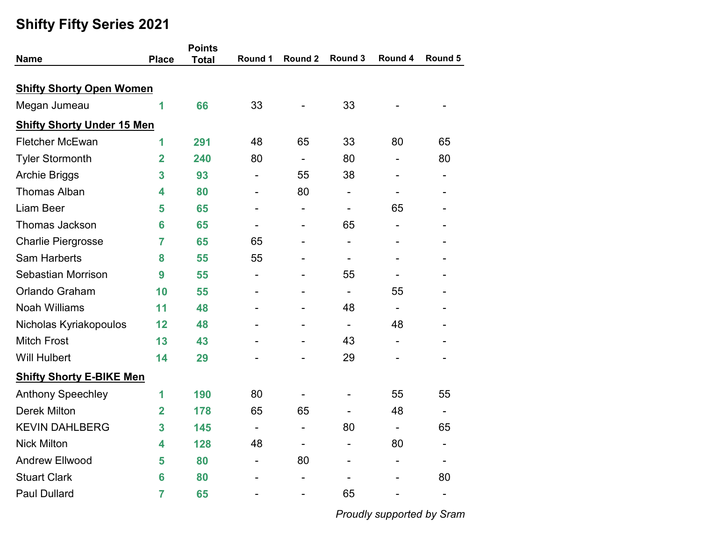|                                   |                | <b>Points</b> |                              |                          |                              |                              |                          |
|-----------------------------------|----------------|---------------|------------------------------|--------------------------|------------------------------|------------------------------|--------------------------|
| <b>Name</b>                       | <b>Place</b>   | <b>Total</b>  | Round 1                      | Round 2                  | Round 3                      | Round 4                      | Round 5                  |
|                                   |                |               |                              |                          |                              |                              |                          |
| <b>Shifty Shorty Open Women</b>   |                |               |                              |                          |                              |                              |                          |
| Megan Jumeau                      | 1              | 66            | 33                           |                          | 33                           |                              |                          |
| <b>Shifty Shorty Under 15 Men</b> |                |               |                              |                          |                              |                              |                          |
| <b>Fletcher McEwan</b>            | 1              | 291           | 48                           | 65                       | 33                           | 80                           | 65                       |
| <b>Tyler Stormonth</b>            | $\overline{2}$ | 240           | 80                           |                          | 80                           |                              | 80                       |
| <b>Archie Briggs</b>              | 3              | 93            |                              | 55                       | 38                           |                              |                          |
| <b>Thomas Alban</b>               | 4              | 80            | $\qquad \qquad \blacksquare$ | 80                       | $\qquad \qquad \blacksquare$ | $\qquad \qquad \blacksquare$ |                          |
| <b>Liam Beer</b>                  | 5              | 65            |                              |                          |                              | 65                           |                          |
| <b>Thomas Jackson</b>             | 6              | 65            |                              |                          | 65                           |                              |                          |
| <b>Charlie Piergrosse</b>         | $\overline{7}$ | 65            | 65                           | $\blacksquare$           | $\overline{\phantom{a}}$     | $\overline{\phantom{a}}$     |                          |
| <b>Sam Harberts</b>               | 8              | 55            | 55                           |                          |                              |                              |                          |
| Sebastian Morrison                | 9              | 55            | -                            |                          | 55                           |                              |                          |
| Orlando Graham                    | 10             | 55            |                              |                          | $\overline{a}$               | 55                           |                          |
| <b>Noah Williams</b>              | 11             | 48            |                              |                          | 48                           | $\overline{\phantom{0}}$     |                          |
| Nicholas Kyriakopoulos            | 12             | 48            |                              |                          | $\overline{\phantom{a}}$     | 48                           |                          |
| <b>Mitch Frost</b>                | 13             | 43            |                              |                          | 43                           |                              |                          |
| <b>Will Hulbert</b>               | 14             | 29            |                              |                          | 29                           |                              |                          |
| <b>Shifty Shorty E-BIKE Men</b>   |                |               |                              |                          |                              |                              |                          |
| <b>Anthony Speechley</b>          | 1              | 190           | 80                           |                          |                              | 55                           | 55                       |
| <b>Derek Milton</b>               | $\overline{2}$ | 178           | 65                           | 65                       | $\qquad \qquad \blacksquare$ | 48                           | $\overline{\phantom{0}}$ |
| <b>KEVIN DAHLBERG</b>             | 3              | 145           |                              | $\overline{\phantom{0}}$ | 80                           |                              | 65                       |
| <b>Nick Milton</b>                | 4              | 128           | 48                           |                          |                              | 80                           |                          |
| <b>Andrew Ellwood</b>             | 5              | 80            | -                            | 80                       | -                            | $\overline{\phantom{a}}$     | ۰                        |
| <b>Stuart Clark</b>               | 6              | 80            |                              |                          |                              |                              | 80                       |
| <b>Paul Dullard</b>               | $\overline{7}$ | 65            |                              |                          | 65                           |                              | $\overline{\phantom{a}}$ |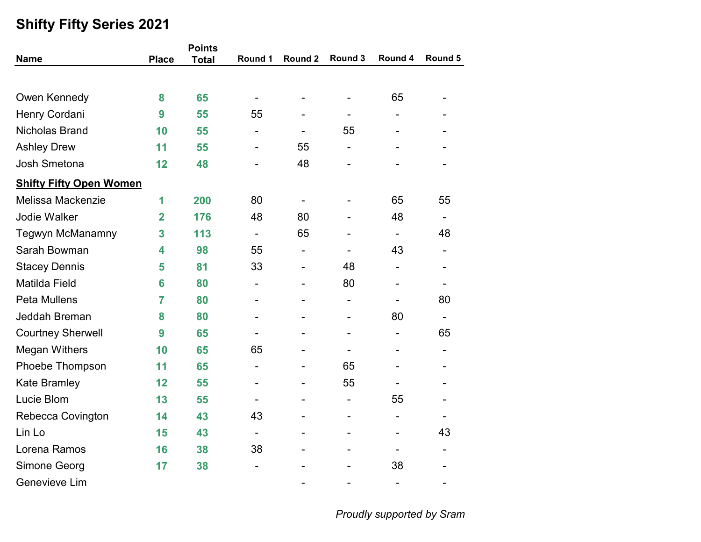|                                |                | <b>Points</b> |                          |                          |                          |                          |                          |
|--------------------------------|----------------|---------------|--------------------------|--------------------------|--------------------------|--------------------------|--------------------------|
| <b>Name</b>                    | <b>Place</b>   | <b>Total</b>  | Round 1                  | Round 2                  | Round 3                  | Round 4                  | Round 5                  |
|                                |                |               |                          |                          |                          |                          |                          |
| Owen Kennedy                   | 8              | 65            |                          |                          | $\overline{a}$           | 65                       |                          |
| Henry Cordani                  | 9              | 55            | 55                       |                          |                          |                          |                          |
| <b>Nicholas Brand</b>          | 10             | 55            | -                        | $\blacksquare$           | 55                       |                          |                          |
| <b>Ashley Drew</b>             | 11             | 55            |                          | 55                       | $\overline{\phantom{a}}$ |                          |                          |
| <b>Josh Smetona</b>            | 12             | 48            |                          | 48                       |                          |                          |                          |
| <b>Shifty Fifty Open Women</b> |                |               |                          |                          |                          |                          |                          |
| Melissa Mackenzie              | 1              | 200           | 80                       | $\overline{\phantom{a}}$ |                          | 65                       | 55                       |
| Jodie Walker                   | $\overline{2}$ | 176           | 48                       | 80                       |                          | 48                       |                          |
| <b>Tegwyn McManamny</b>        | 3              | 113           | $\overline{\phantom{a}}$ | 65                       |                          | $\overline{\phantom{a}}$ | 48                       |
| Sarah Bowman                   | 4              | 98            | 55                       |                          |                          | 43                       |                          |
| <b>Stacey Dennis</b>           | 5              | 81            | 33                       | $\overline{\phantom{a}}$ | 48                       |                          |                          |
| Matilda Field                  | 6              | 80            | $\overline{\phantom{a}}$ | $\blacksquare$           | 80                       | $\blacksquare$           | $\overline{\phantom{0}}$ |
| <b>Peta Mullens</b>            | $\overline{7}$ | 80            |                          | $\overline{\phantom{0}}$ | $\overline{a}$           |                          | 80                       |
| Jeddah Breman                  | 8              | 80            |                          |                          |                          | 80                       | $\overline{\phantom{0}}$ |
| <b>Courtney Sherwell</b>       | 9              | 65            |                          |                          | $\overline{\phantom{0}}$ | $\overline{\phantom{0}}$ | 65                       |
| <b>Megan Withers</b>           | 10             | 65            | 65                       |                          | $\overline{\phantom{0}}$ |                          |                          |
| Phoebe Thompson                | 11             | 65            | $\overline{\phantom{a}}$ |                          | 65                       |                          |                          |
| <b>Kate Bramley</b>            | 12             | 55            | $\overline{\phantom{0}}$ |                          | 55                       |                          |                          |
| Lucie Blom                     | 13             | 55            | $\overline{\phantom{0}}$ |                          | $\overline{\phantom{a}}$ | 55                       |                          |
| Rebecca Covington              | 14             | 43            | 43                       |                          | $\blacksquare$           |                          |                          |
| Lin Lo                         | 15             | 43            | $\overline{\phantom{a}}$ |                          |                          |                          | 43                       |
| Lorena Ramos                   | 16             | 38            | 38                       |                          |                          | $\overline{\phantom{a}}$ |                          |
| Simone Georg                   | 17             | 38            | $\overline{\phantom{0}}$ |                          |                          | 38                       |                          |
| Genevieve Lim                  |                |               |                          |                          |                          | $\overline{\phantom{a}}$ | -                        |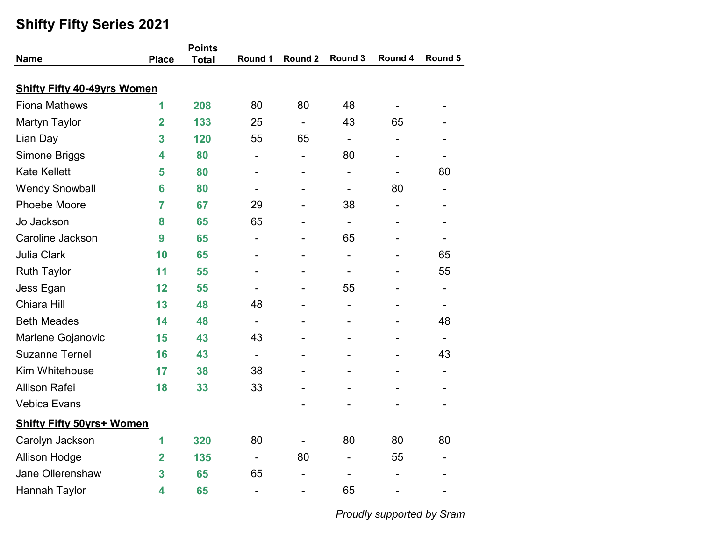|                                    |              | <b>Points</b> |                          |         |                              |                          |                          |
|------------------------------------|--------------|---------------|--------------------------|---------|------------------------------|--------------------------|--------------------------|
| <b>Name</b>                        | <b>Place</b> | <b>Total</b>  | Round 1                  | Round 2 | Round 3                      | Round 4                  | Round 5                  |
| <b>Shifty Fifty 40-49yrs Women</b> |              |               |                          |         |                              |                          |                          |
| <b>Fiona Mathews</b>               | 1            | 208           | 80                       | 80      | 48                           | $\overline{\phantom{a}}$ |                          |
| <b>Martyn Taylor</b>               | 2            | 133           | 25                       | Ξ.      | 43                           | 65                       |                          |
| Lian Day                           | 3            | 120           | 55                       | 65      | $\overline{\phantom{a}}$     |                          |                          |
| Simone Briggs                      | 4            | 80            | $\overline{\phantom{a}}$ | -       | 80                           | $\overline{\phantom{a}}$ |                          |
| <b>Kate Kellett</b>                | 5            | 80            |                          |         | $\qquad \qquad \blacksquare$ |                          | 80                       |
| <b>Wendy Snowball</b>              | 6            | 80            |                          |         | $\overline{\phantom{a}}$     | 80                       |                          |
| Phoebe Moore                       | 7            | 67            | 29                       |         | 38                           | $\overline{\phantom{a}}$ |                          |
| Jo Jackson                         | 8            | 65            | 65                       |         | $\overline{\phantom{0}}$     |                          |                          |
| Caroline Jackson                   | 9            | 65            | -                        |         | 65                           |                          |                          |
| <b>Julia Clark</b>                 | 10           | 65            |                          |         | $\qquad \qquad \blacksquare$ |                          | 65                       |
| <b>Ruth Taylor</b>                 | 11           | 55            |                          |         | $\qquad \qquad \blacksquare$ |                          | 55                       |
| Jess Egan                          | 12           | 55            | $\overline{\phantom{a}}$ |         | 55                           | $\overline{\phantom{a}}$ | $\overline{\phantom{a}}$ |
| Chiara Hill                        | 13           | 48            | 48                       |         |                              |                          |                          |
| <b>Beth Meades</b>                 | 14           | 48            | $\overline{\phantom{a}}$ |         |                              |                          | 48                       |
| Marlene Gojanovic                  | 15           | 43            | 43                       |         |                              |                          |                          |
| <b>Suzanne Ternel</b>              | 16           | 43            | $\blacksquare$           |         | -                            |                          | 43                       |
| Kim Whitehouse                     | 17           | 38            | 38                       |         |                              |                          | $\blacksquare$           |
| <b>Allison Rafei</b>               | 18           | 33            | 33                       |         |                              |                          |                          |
| <b>Vebica Evans</b>                |              |               |                          |         |                              |                          |                          |
| <b>Shifty Fifty 50yrs+ Women</b>   |              |               |                          |         |                              |                          |                          |
| Carolyn Jackson                    | 1            | 320           | 80                       |         | 80                           | 80                       | 80                       |
| <b>Allison Hodge</b>               | 2            | 135           | $\overline{\phantom{a}}$ | 80      | $\qquad \qquad \blacksquare$ | 55                       | $\overline{a}$           |
| Jane Ollerenshaw                   | 3            | 65            | 65                       |         |                              |                          |                          |
| Hannah Taylor                      | 4            | 65            | $\overline{\phantom{a}}$ |         | 65                           | $\overline{\phantom{a}}$ |                          |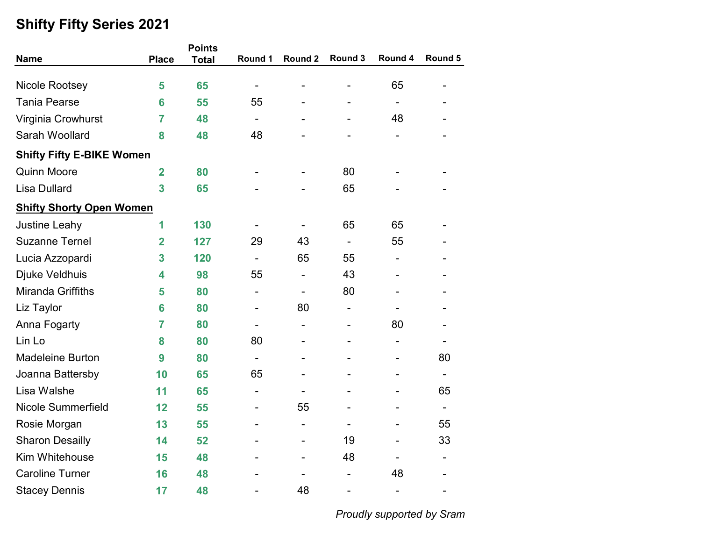|                                  |                         | <b>Points</b> |                          |                          |                              |                          |                          |  |
|----------------------------------|-------------------------|---------------|--------------------------|--------------------------|------------------------------|--------------------------|--------------------------|--|
| <b>Name</b>                      | <b>Place</b>            | <b>Total</b>  | Round 1                  | Round <sub>2</sub>       | Round 3                      | Round 4                  | Round 5                  |  |
|                                  |                         |               |                          |                          |                              |                          |                          |  |
| Nicole Rootsey                   | 5                       | 65            |                          |                          | $\overline{\phantom{0}}$     | 65                       |                          |  |
| <b>Tania Pearse</b>              | 6                       | 55            | 55                       |                          |                              | $\overline{\phantom{0}}$ |                          |  |
| Virginia Crowhurst               | $\overline{7}$          | 48            | $\overline{\phantom{a}}$ |                          |                              | 48                       |                          |  |
| Sarah Woollard                   | 8                       | 48            | 48                       |                          |                              |                          |                          |  |
| <b>Shifty Fifty E-BIKE Women</b> |                         |               |                          |                          |                              |                          |                          |  |
| <b>Quinn Moore</b>               | $\overline{\mathbf{2}}$ | 80            |                          |                          | 80                           |                          |                          |  |
| <b>Lisa Dullard</b>              | 3                       | 65            |                          |                          | 65                           |                          |                          |  |
| <b>Shifty Shorty Open Women</b>  |                         |               |                          |                          |                              |                          |                          |  |
| Justine Leahy                    | 1                       | 130           |                          |                          | 65                           | 65                       |                          |  |
| <b>Suzanne Ternel</b>            | $\overline{2}$          | 127           | 29                       | 43                       | $\overline{\phantom{0}}$     | 55                       |                          |  |
| Lucia Azzopardi                  | 3                       | 120           | $\blacksquare$           | 65                       | 55                           | $\overline{\phantom{a}}$ |                          |  |
| Djuke Veldhuis                   | 4                       | 98            | 55                       | $\blacksquare$           | 43                           |                          |                          |  |
| Miranda Griffiths                | 5                       | 80            | $\blacksquare$           |                          | 80                           |                          |                          |  |
| Liz Taylor                       | 6                       | 80            | $\blacksquare$           | 80                       | $\qquad \qquad \blacksquare$ |                          |                          |  |
| Anna Fogarty                     | $\overline{7}$          | 80            | $\overline{\phantom{a}}$ | $\overline{\phantom{a}}$ | $\overline{\phantom{0}}$     | 80                       |                          |  |
| Lin Lo                           | 8                       | 80            | 80                       |                          |                              | $\overline{a}$           |                          |  |
| <b>Madeleine Burton</b>          | 9                       | 80            |                          |                          |                              |                          | 80                       |  |
| Joanna Battersby                 | 10                      | 65            | 65                       |                          |                              | $\overline{a}$           | $\overline{\phantom{0}}$ |  |
| Lisa Walshe                      | 11                      | 65            | $\overline{\phantom{0}}$ |                          |                              |                          | 65                       |  |
| <b>Nicole Summerfield</b>        | 12                      | 55            |                          | 55                       |                              |                          | $\blacksquare$           |  |
| Rosie Morgan                     | 13                      | 55            |                          |                          |                              | $\blacksquare$           | 55                       |  |
| <b>Sharon Desailly</b>           | 14                      | 52            |                          |                          | 19                           |                          | 33                       |  |
| Kim Whitehouse                   | 15                      | 48            |                          |                          | 48                           | ۰                        | $\overline{\phantom{0}}$ |  |
| <b>Caroline Turner</b>           | 16                      | 48            |                          |                          |                              | 48                       |                          |  |
| <b>Stacey Dennis</b>             | 17                      | 48            |                          | 48                       |                              | $\overline{\phantom{a}}$ |                          |  |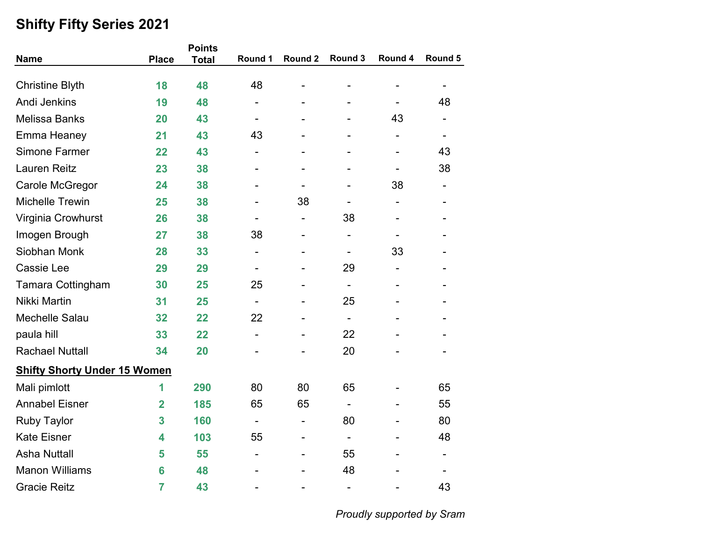| <b>Name</b>                         | <b>Place</b>   | <b>Points</b><br><b>Total</b> | Round 1                  | Round 2                      | Round 3                      | Round 4                  | Round 5                  |
|-------------------------------------|----------------|-------------------------------|--------------------------|------------------------------|------------------------------|--------------------------|--------------------------|
|                                     |                |                               |                          |                              |                              |                          |                          |
| <b>Christine Blyth</b>              | 18             | 48                            | 48                       |                              | -                            |                          |                          |
| <b>Andi Jenkins</b>                 | 19             | 48                            | $\overline{\phantom{a}}$ |                              |                              |                          | 48                       |
| <b>Melissa Banks</b>                | 20             | 43                            | $\overline{\phantom{a}}$ | $\overline{\phantom{0}}$     | $\qquad \qquad \blacksquare$ | 43                       | $\overline{\phantom{0}}$ |
| Emma Heaney                         | 21             | 43                            | 43                       |                              |                              |                          |                          |
| Simone Farmer                       | 22             | 43                            | -                        |                              |                              |                          | 43                       |
| <b>Lauren Reitz</b>                 | 23             | 38                            |                          |                              |                              |                          | 38                       |
| Carole McGregor                     | 24             | 38                            |                          |                              |                              | 38                       |                          |
| <b>Michelle Trewin</b>              | 25             | 38                            |                          | 38                           | $\qquad \qquad \blacksquare$ | $\overline{\phantom{a}}$ |                          |
| Virginia Crowhurst                  | 26             | 38                            |                          | $\qquad \qquad \blacksquare$ | 38                           |                          |                          |
| Imogen Brough                       | 27             | 38                            | 38                       |                              | $\overline{\phantom{a}}$     |                          |                          |
| Siobhan Monk                        | 28             | 33                            | $\overline{\phantom{a}}$ | $\blacksquare$               | $\overline{\phantom{a}}$     | 33                       |                          |
| Cassie Lee                          | 29             | 29                            | $\blacksquare$           |                              | 29                           |                          |                          |
| <b>Tamara Cottingham</b>            | 30             | 25                            | 25                       |                              | $\blacksquare$               |                          |                          |
| Nikki Martin                        | 31             | 25                            | $\overline{\phantom{a}}$ |                              | 25                           |                          |                          |
| Mechelle Salau                      | 32             | 22                            | 22                       |                              | $\overline{\phantom{a}}$     |                          |                          |
| paula hill                          | 33             | 22                            | $\overline{\phantom{a}}$ | $\overline{\phantom{0}}$     | 22                           |                          |                          |
| <b>Rachael Nuttall</b>              | 34             | 20                            |                          |                              | 20                           |                          |                          |
| <b>Shifty Shorty Under 15 Women</b> |                |                               |                          |                              |                              |                          |                          |
| Mali pimlott                        | 1              | 290                           | 80                       | 80                           | 65                           |                          | 65                       |
| <b>Annabel Eisner</b>               | $\overline{2}$ | 185                           | 65                       | 65                           | $\overline{\phantom{a}}$     |                          | 55                       |
| <b>Ruby Taylor</b>                  | 3              | 160                           |                          |                              | 80                           |                          | 80                       |
| <b>Kate Eisner</b>                  | 4              | 103                           | 55                       |                              | $\overline{\phantom{a}}$     |                          | 48                       |
| <b>Asha Nuttall</b>                 | 5              | 55                            | $\overline{\phantom{a}}$ |                              | 55                           |                          | $\blacksquare$           |
| <b>Manon Williams</b>               | 6              | 48                            |                          |                              | 48                           |                          |                          |
| <b>Gracie Reitz</b>                 | $\overline{7}$ | 43                            |                          |                              | $\qquad \qquad \blacksquare$ |                          | 43                       |